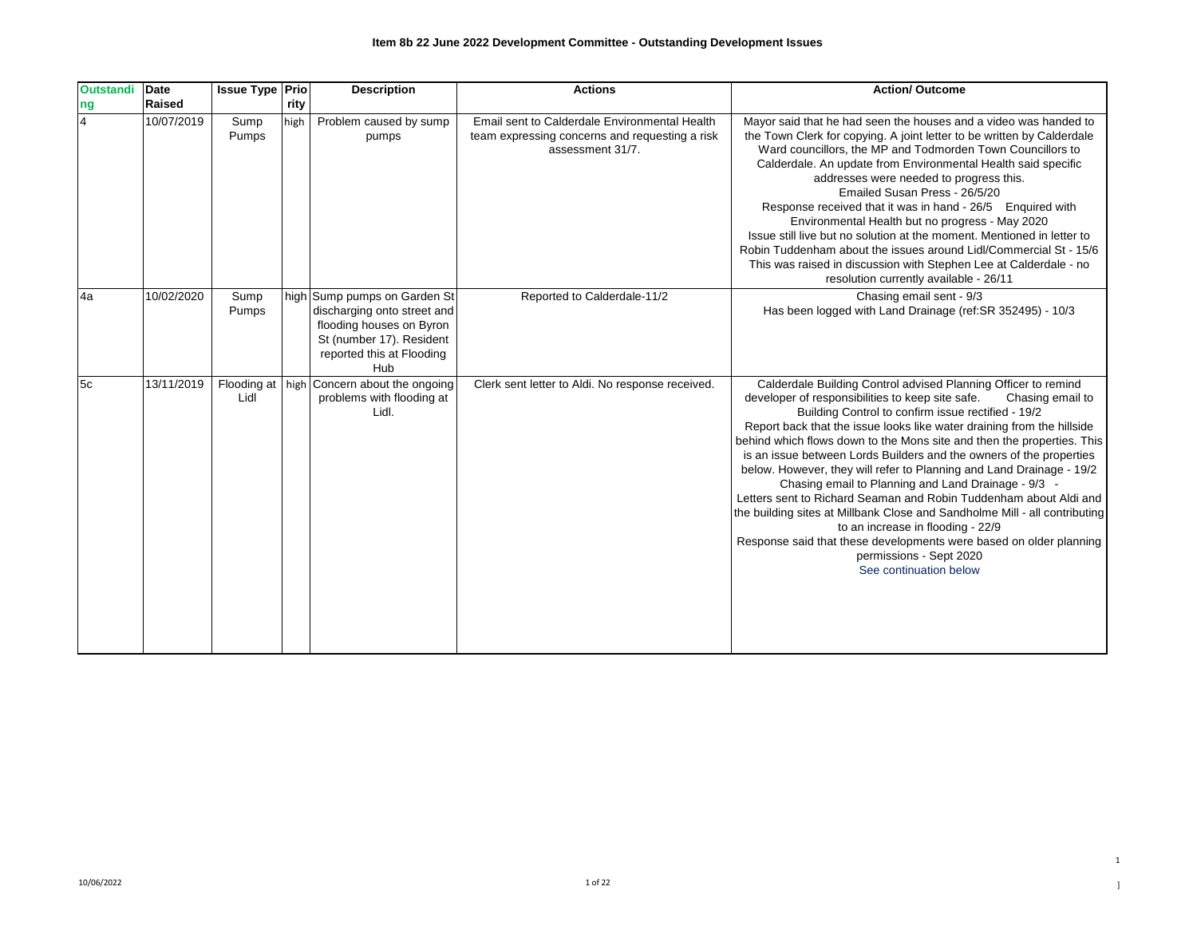| <b>Outstandi</b>     | Date<br>Raised | <b>Issue Type Prio</b> | rity | <b>Description</b>                                                                                                                                      | <b>Actions</b>                                                                                                      | <b>Action/ Outcome</b>                                                                                                                                                                                                                                                                                                                                                                                                                                                                                                                                                                                                                                                                                                                                                                                                                                                    |
|----------------------|----------------|------------------------|------|---------------------------------------------------------------------------------------------------------------------------------------------------------|---------------------------------------------------------------------------------------------------------------------|---------------------------------------------------------------------------------------------------------------------------------------------------------------------------------------------------------------------------------------------------------------------------------------------------------------------------------------------------------------------------------------------------------------------------------------------------------------------------------------------------------------------------------------------------------------------------------------------------------------------------------------------------------------------------------------------------------------------------------------------------------------------------------------------------------------------------------------------------------------------------|
| ng<br>$\overline{4}$ | 10/07/2019     | Sump<br>Pumps          | high | Problem caused by sump<br>pumps                                                                                                                         | Email sent to Calderdale Environmental Health<br>team expressing concerns and requesting a risk<br>assessment 31/7. | Mayor said that he had seen the houses and a video was handed to<br>the Town Clerk for copying. A joint letter to be written by Calderdale<br>Ward councillors, the MP and Todmorden Town Councillors to<br>Calderdale. An update from Environmental Health said specific<br>addresses were needed to progress this.<br>Emailed Susan Press - 26/5/20<br>Response received that it was in hand - 26/5 Enquired with<br>Environmental Health but no progress - May 2020<br>Issue still live but no solution at the moment. Mentioned in letter to<br>Robin Tuddenham about the issues around Lidl/Commercial St - 15/6<br>This was raised in discussion with Stephen Lee at Calderdale - no<br>resolution currently available - 26/11                                                                                                                                      |
| 4a                   | 10/02/2020     | Sump<br>Pumps          |      | high Sump pumps on Garden St<br>discharging onto street and<br>flooding houses on Byron<br>St (number 17). Resident<br>reported this at Flooding<br>Hub | Reported to Calderdale-11/2                                                                                         | Chasing email sent - 9/3<br>Has been logged with Land Drainage (ref:SR 352495) - 10/3                                                                                                                                                                                                                                                                                                                                                                                                                                                                                                                                                                                                                                                                                                                                                                                     |
| 5c                   | 13/11/2019     | Lidl                   |      | Flooding at   high Concern about the ongoing<br>problems with flooding at<br>Lidl.                                                                      | Clerk sent letter to Aldi. No response received.                                                                    | Calderdale Building Control advised Planning Officer to remind<br>developer of responsibilities to keep site safe.<br>Chasing email to<br>Building Control to confirm issue rectified - 19/2<br>Report back that the issue looks like water draining from the hillside<br>behind which flows down to the Mons site and then the properties. This<br>is an issue between Lords Builders and the owners of the properties<br>below. However, they will refer to Planning and Land Drainage - 19/2<br>Chasing email to Planning and Land Drainage - 9/3 -<br>Letters sent to Richard Seaman and Robin Tuddenham about Aldi and<br>the building sites at Millbank Close and Sandholme Mill - all contributing<br>to an increase in flooding - 22/9<br>Response said that these developments were based on older planning<br>permissions - Sept 2020<br>See continuation below |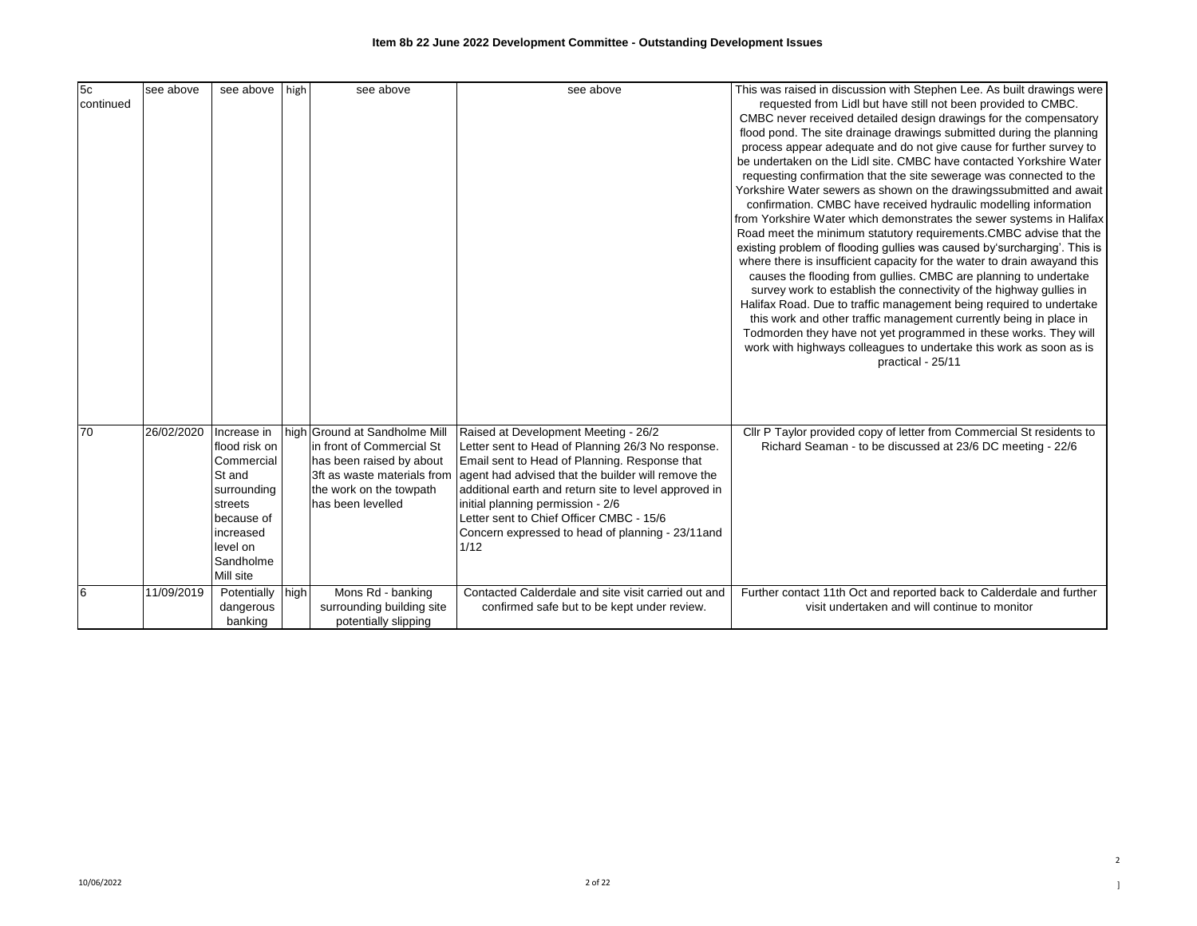| 5c<br>continued | see above  | see above high                                                                                                                                  | see above                                                                                                                                                             | see above                                                                                                                                                                                                                                                                                                                                                                                               | This was raised in discussion with Stephen Lee. As built drawings were<br>requested from Lidl but have still not been provided to CMBC.<br>CMBC never received detailed design drawings for the compensatory<br>flood pond. The site drainage drawings submitted during the planning<br>process appear adequate and do not give cause for further survey to<br>be undertaken on the Lidl site. CMBC have contacted Yorkshire Water<br>requesting confirmation that the site sewerage was connected to the<br>Yorkshire Water sewers as shown on the drawingssubmitted and await<br>confirmation. CMBC have received hydraulic modelling information<br>from Yorkshire Water which demonstrates the sewer systems in Halifax<br>Road meet the minimum statutory requirements.CMBC advise that the<br>existing problem of flooding gullies was caused by'surcharging'. This is<br>where there is insufficient capacity for the water to drain awayand this<br>causes the flooding from gullies. CMBC are planning to undertake<br>survey work to establish the connectivity of the highway gullies in<br>Halifax Road. Due to traffic management being required to undertake<br>this work and other traffic management currently being in place in<br>Todmorden they have not yet programmed in these works. They will<br>work with highways colleagues to undertake this work as soon as is<br>practical - 25/11 |
|-----------------|------------|-------------------------------------------------------------------------------------------------------------------------------------------------|-----------------------------------------------------------------------------------------------------------------------------------------------------------------------|---------------------------------------------------------------------------------------------------------------------------------------------------------------------------------------------------------------------------------------------------------------------------------------------------------------------------------------------------------------------------------------------------------|-----------------------------------------------------------------------------------------------------------------------------------------------------------------------------------------------------------------------------------------------------------------------------------------------------------------------------------------------------------------------------------------------------------------------------------------------------------------------------------------------------------------------------------------------------------------------------------------------------------------------------------------------------------------------------------------------------------------------------------------------------------------------------------------------------------------------------------------------------------------------------------------------------------------------------------------------------------------------------------------------------------------------------------------------------------------------------------------------------------------------------------------------------------------------------------------------------------------------------------------------------------------------------------------------------------------------------------------------------------------------------------------------------------------|
| 70              | 26/02/2020 | Increase in<br>flood risk on<br>Commercial<br>St and<br>surrounding<br>streets<br>because of<br>increased<br>level on<br>Sandholme<br>Mill site | high Ground at Sandholme Mill<br>In front of Commercial St<br>has been raised by about<br>3ft as waste materials from<br>the work on the towpath<br>has been levelled | Raised at Development Meeting - 26/2<br>Letter sent to Head of Planning 26/3 No response.<br>Email sent to Head of Planning. Response that<br>agent had advised that the builder will remove the<br>additional earth and return site to level approved in<br>initial planning permission - 2/6<br>Letter sent to Chief Officer CMBC - 15/6<br>Concern expressed to head of planning - 23/11 and<br>1/12 | Cllr P Taylor provided copy of letter from Commercial St residents to<br>Richard Seaman - to be discussed at 23/6 DC meeting - 22/6                                                                                                                                                                                                                                                                                                                                                                                                                                                                                                                                                                                                                                                                                                                                                                                                                                                                                                                                                                                                                                                                                                                                                                                                                                                                             |
| 6               | 11/09/2019 | Potentially high<br>dangerous<br>banking                                                                                                        | Mons Rd - banking<br>surrounding building site<br>potentially slipping                                                                                                | Contacted Calderdale and site visit carried out and<br>confirmed safe but to be kept under review.                                                                                                                                                                                                                                                                                                      | Further contact 11th Oct and reported back to Calderdale and further<br>visit undertaken and will continue to monitor                                                                                                                                                                                                                                                                                                                                                                                                                                                                                                                                                                                                                                                                                                                                                                                                                                                                                                                                                                                                                                                                                                                                                                                                                                                                                           |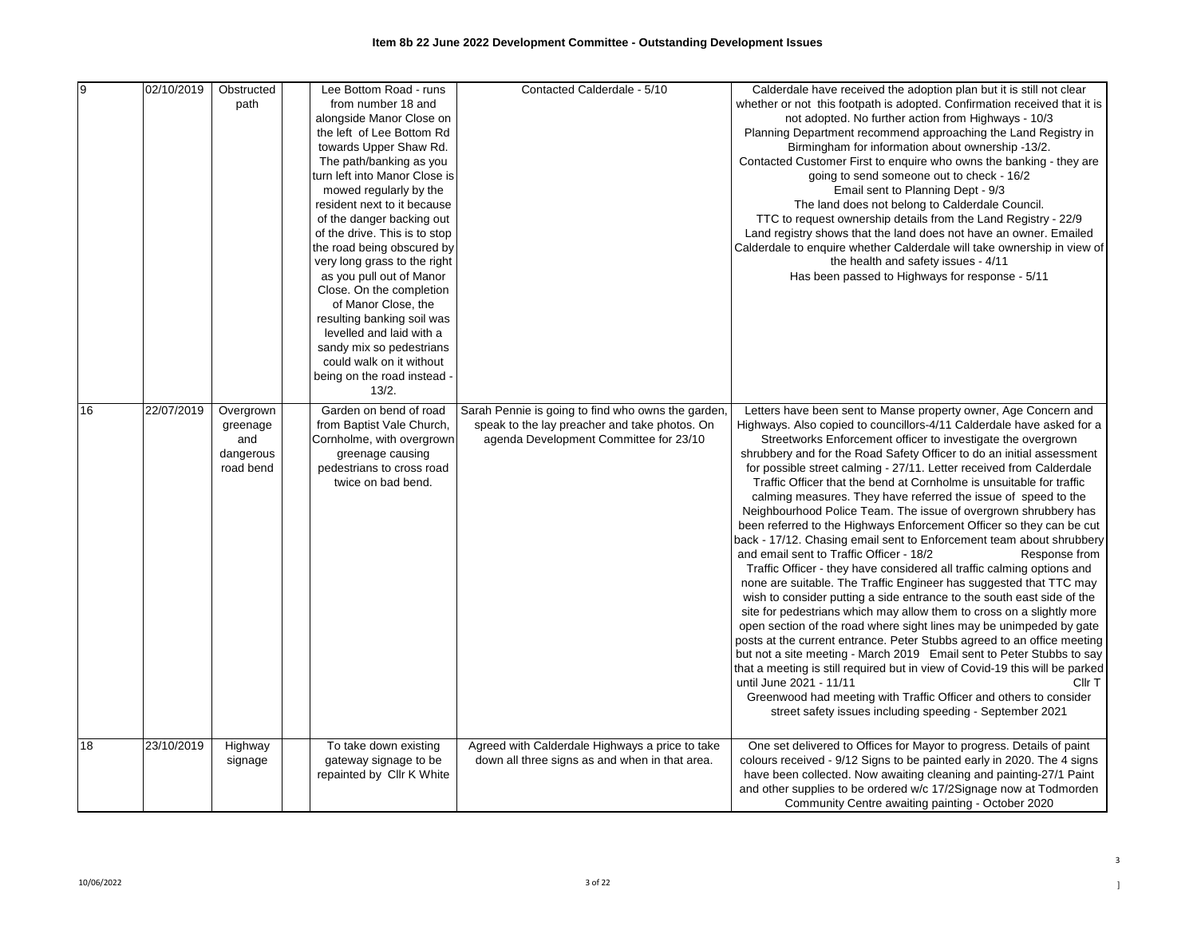| 9  | 02/10/2019 | Obstructed<br>path                                     | Lee Bottom Road - runs<br>from number 18 and<br>alongside Manor Close on<br>the left of Lee Bottom Rd<br>towards Upper Shaw Rd.<br>The path/banking as you<br>turn left into Manor Close is<br>mowed regularly by the<br>resident next to it because<br>of the danger backing out<br>of the drive. This is to stop<br>the road being obscured by<br>very long grass to the right<br>as you pull out of Manor<br>Close. On the completion<br>of Manor Close, the<br>resulting banking soil was<br>levelled and laid with a<br>sandy mix so pedestrians<br>could walk on it without<br>being on the road instead - | Contacted Calderdale - 5/10                                                                                                                   | Calderdale have received the adoption plan but it is still not clear<br>whether or not this footpath is adopted. Confirmation received that it is<br>not adopted. No further action from Highways - 10/3<br>Planning Department recommend approaching the Land Registry in<br>Birmingham for information about ownership -13/2.<br>Contacted Customer First to enquire who owns the banking - they are<br>going to send someone out to check - 16/2<br>Email sent to Planning Dept - 9/3<br>The land does not belong to Calderdale Council.<br>TTC to request ownership details from the Land Registry - 22/9<br>Land registry shows that the land does not have an owner. Emailed<br>Calderdale to enquire whether Calderdale will take ownership in view of<br>the health and safety issues - 4/11<br>Has been passed to Highways for response - 5/11                                                                                                                                                                                                                                                                                                                                                                                                                                                                                                                                                                                                                                                                                                                 |
|----|------------|--------------------------------------------------------|------------------------------------------------------------------------------------------------------------------------------------------------------------------------------------------------------------------------------------------------------------------------------------------------------------------------------------------------------------------------------------------------------------------------------------------------------------------------------------------------------------------------------------------------------------------------------------------------------------------|-----------------------------------------------------------------------------------------------------------------------------------------------|-------------------------------------------------------------------------------------------------------------------------------------------------------------------------------------------------------------------------------------------------------------------------------------------------------------------------------------------------------------------------------------------------------------------------------------------------------------------------------------------------------------------------------------------------------------------------------------------------------------------------------------------------------------------------------------------------------------------------------------------------------------------------------------------------------------------------------------------------------------------------------------------------------------------------------------------------------------------------------------------------------------------------------------------------------------------------------------------------------------------------------------------------------------------------------------------------------------------------------------------------------------------------------------------------------------------------------------------------------------------------------------------------------------------------------------------------------------------------------------------------------------------------------------------------------------------------|
| 16 | 22/07/2019 | Overgrown<br>greenage<br>and<br>dangerous<br>road bend | 13/2.<br>Garden on bend of road<br>from Baptist Vale Church,<br>Cornholme, with overgrown<br>greenage causing<br>pedestrians to cross road<br>twice on bad bend.                                                                                                                                                                                                                                                                                                                                                                                                                                                 | Sarah Pennie is going to find who owns the garden,<br>speak to the lay preacher and take photos. On<br>agenda Development Committee for 23/10 | Letters have been sent to Manse property owner, Age Concern and<br>Highways. Also copied to councillors-4/11 Calderdale have asked for a<br>Streetworks Enforcement officer to investigate the overgrown<br>shrubbery and for the Road Safety Officer to do an initial assessment<br>for possible street calming - 27/11. Letter received from Calderdale<br>Traffic Officer that the bend at Cornholme is unsuitable for traffic<br>calming measures. They have referred the issue of speed to the<br>Neighbourhood Police Team. The issue of overgrown shrubbery has<br>been referred to the Highways Enforcement Officer so they can be cut<br>back - 17/12. Chasing email sent to Enforcement team about shrubbery<br>and email sent to Traffic Officer - 18/2<br>Response from<br>Traffic Officer - they have considered all traffic calming options and<br>none are suitable. The Traffic Engineer has suggested that TTC may<br>wish to consider putting a side entrance to the south east side of the<br>site for pedestrians which may allow them to cross on a slightly more<br>open section of the road where sight lines may be unimpeded by gate<br>posts at the current entrance. Peter Stubbs agreed to an office meeting<br>but not a site meeting - March 2019 Email sent to Peter Stubbs to say<br>that a meeting is still required but in view of Covid-19 this will be parked<br>until June 2021 - 11/11<br>Cllr T<br>Greenwood had meeting with Traffic Officer and others to consider<br>street safety issues including speeding - September 2021 |
| 18 | 23/10/2019 | Highway<br>signage                                     | To take down existing<br>gateway signage to be<br>repainted by Cllr K White                                                                                                                                                                                                                                                                                                                                                                                                                                                                                                                                      | Agreed with Calderdale Highways a price to take<br>down all three signs as and when in that area.                                             | One set delivered to Offices for Mayor to progress. Details of paint<br>colours received - 9/12 Signs to be painted early in 2020. The 4 signs<br>have been collected. Now awaiting cleaning and painting-27/1 Paint<br>and other supplies to be ordered w/c 17/2Signage now at Todmorden<br>Community Centre awaiting painting - October 2020                                                                                                                                                                                                                                                                                                                                                                                                                                                                                                                                                                                                                                                                                                                                                                                                                                                                                                                                                                                                                                                                                                                                                                                                                          |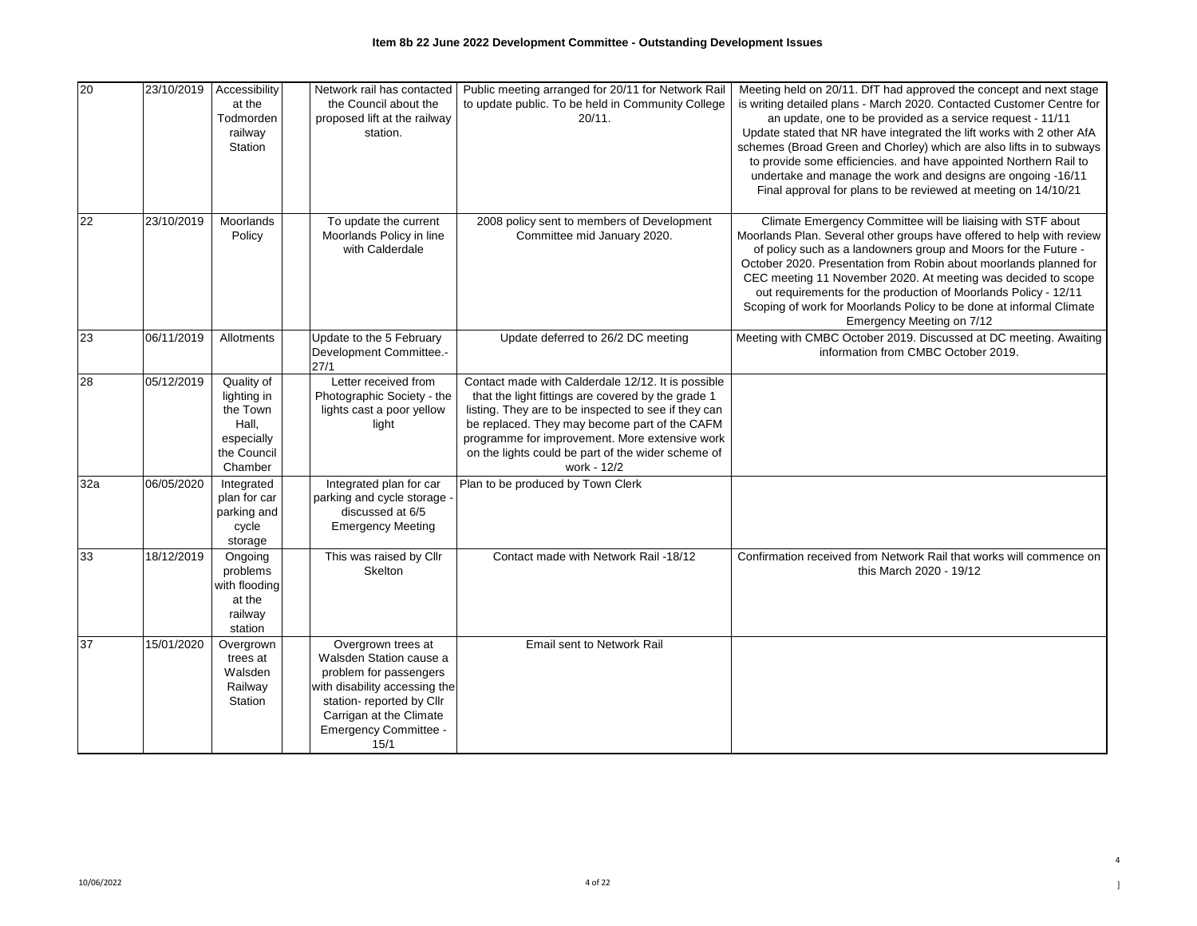| 20  | 23/10/2019 | Accessibility<br>at the<br>Todmorden<br>railway<br>Station                             | Network rail has contacted<br>the Council about the<br>proposed lift at the railway<br>station.                                                                                                   | Public meeting arranged for 20/11 for Network Rail<br>to update public. To be held in Community College<br>20/11.                                                                                                                                                                                                                        | Meeting held on 20/11. DfT had approved the concept and next stage<br>is writing detailed plans - March 2020. Contacted Customer Centre for<br>an update, one to be provided as a service request - 11/11<br>Update stated that NR have integrated the lift works with 2 other AfA<br>schemes (Broad Green and Chorley) which are also lifts in to subways<br>to provide some efficiencies. and have appointed Northern Rail to<br>undertake and manage the work and designs are ongoing -16/11<br>Final approval for plans to be reviewed at meeting on 14/10/21 |
|-----|------------|----------------------------------------------------------------------------------------|---------------------------------------------------------------------------------------------------------------------------------------------------------------------------------------------------|------------------------------------------------------------------------------------------------------------------------------------------------------------------------------------------------------------------------------------------------------------------------------------------------------------------------------------------|-------------------------------------------------------------------------------------------------------------------------------------------------------------------------------------------------------------------------------------------------------------------------------------------------------------------------------------------------------------------------------------------------------------------------------------------------------------------------------------------------------------------------------------------------------------------|
| 22  | 23/10/2019 | Moorlands<br>Policy                                                                    | To update the current<br>Moorlands Policy in line<br>with Calderdale                                                                                                                              | 2008 policy sent to members of Development<br>Committee mid January 2020.                                                                                                                                                                                                                                                                | Climate Emergency Committee will be liaising with STF about<br>Moorlands Plan. Several other groups have offered to help with review<br>of policy such as a landowners group and Moors for the Future -<br>October 2020. Presentation from Robin about moorlands planned for<br>CEC meeting 11 November 2020. At meeting was decided to scope<br>out requirements for the production of Moorlands Policy - 12/11<br>Scoping of work for Moorlands Policy to be done at informal Climate<br>Emergency Meeting on 7/12                                              |
| 23  | 06/11/2019 | Allotments                                                                             | Update to the 5 February<br>Development Committee.-<br>27/1                                                                                                                                       | Update deferred to 26/2 DC meeting                                                                                                                                                                                                                                                                                                       | Meeting with CMBC October 2019. Discussed at DC meeting. Awaiting<br>information from CMBC October 2019.                                                                                                                                                                                                                                                                                                                                                                                                                                                          |
| 28  | 05/12/2019 | Quality of<br>lighting in<br>the Town<br>Hall,<br>especially<br>the Council<br>Chamber | Letter received from<br>Photographic Society - the<br>lights cast a poor yellow<br>light                                                                                                          | Contact made with Calderdale 12/12. It is possible<br>that the light fittings are covered by the grade 1<br>listing. They are to be inspected to see if they can<br>be replaced. They may become part of the CAFM<br>programme for improvement. More extensive work<br>on the lights could be part of the wider scheme of<br>work - 12/2 |                                                                                                                                                                                                                                                                                                                                                                                                                                                                                                                                                                   |
| 32a | 06/05/2020 | Integrated<br>plan for car<br>parking and<br>cycle<br>storage                          | Integrated plan for car<br>parking and cycle storage -<br>discussed at 6/5<br><b>Emergency Meeting</b>                                                                                            | Plan to be produced by Town Clerk                                                                                                                                                                                                                                                                                                        |                                                                                                                                                                                                                                                                                                                                                                                                                                                                                                                                                                   |
| 33  | 18/12/2019 | Ongoing<br>problems<br>with flooding<br>at the<br>railway<br>station                   | This was raised by Cllr<br>Skelton                                                                                                                                                                | Contact made with Network Rail -18/12                                                                                                                                                                                                                                                                                                    | Confirmation received from Network Rail that works will commence on<br>this March 2020 - 19/12                                                                                                                                                                                                                                                                                                                                                                                                                                                                    |
| 37  | 15/01/2020 | Overgrown<br>trees at<br>Walsden<br>Railway<br>Station                                 | Overgrown trees at<br>Walsden Station cause a<br>problem for passengers<br>with disability accessing the<br>station- reported by Cllr<br>Carrigan at the Climate<br>Emergency Committee -<br>15/1 | Email sent to Network Rail                                                                                                                                                                                                                                                                                                               |                                                                                                                                                                                                                                                                                                                                                                                                                                                                                                                                                                   |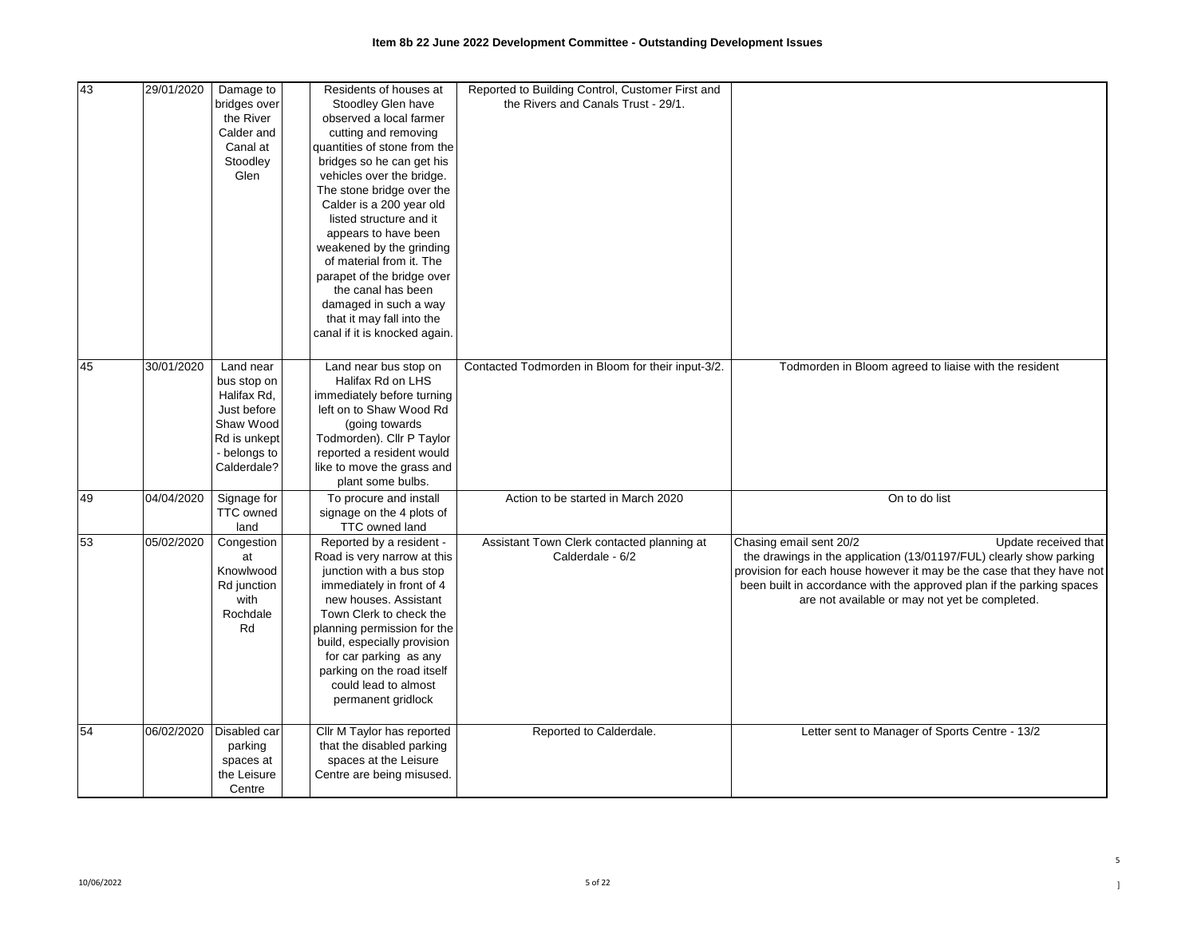| 43 | 29/01/2020 | Damage to<br>bridges over<br>the River<br>Calder and<br>Canal at<br>Stoodley<br>Glen                               | Residents of houses at<br>Stoodley Glen have<br>observed a local farmer<br>cutting and removing<br>quantities of stone from the<br>bridges so he can get his<br>vehicles over the bridge.<br>The stone bridge over the<br>Calder is a 200 year old<br>listed structure and it<br>appears to have been<br>weakened by the grinding<br>of material from it. The<br>parapet of the bridge over<br>the canal has been<br>damaged in such a way<br>that it may fall into the<br>canal if it is knocked again. | Reported to Building Control, Customer First and<br>the Rivers and Canals Trust - 29/1. |                                                                                                                                                                                                                                                                                                                             |
|----|------------|--------------------------------------------------------------------------------------------------------------------|----------------------------------------------------------------------------------------------------------------------------------------------------------------------------------------------------------------------------------------------------------------------------------------------------------------------------------------------------------------------------------------------------------------------------------------------------------------------------------------------------------|-----------------------------------------------------------------------------------------|-----------------------------------------------------------------------------------------------------------------------------------------------------------------------------------------------------------------------------------------------------------------------------------------------------------------------------|
| 45 | 30/01/2020 | Land near<br>bus stop on<br>Halifax Rd,<br>Just before<br>Shaw Wood<br>Rd is unkept<br>- belongs to<br>Calderdale? | Land near bus stop on<br>Halifax Rd on LHS<br>immediately before turning<br>left on to Shaw Wood Rd<br>(going towards)<br>Todmorden). Cllr P Taylor<br>reported a resident would<br>like to move the grass and<br>plant some bulbs.                                                                                                                                                                                                                                                                      | Contacted Todmorden in Bloom for their input-3/2.                                       | Todmorden in Bloom agreed to liaise with the resident                                                                                                                                                                                                                                                                       |
| 49 | 04/04/2020 | Signage for<br><b>TTC</b> owned<br>land                                                                            | To procure and install<br>signage on the 4 plots of<br>TTC owned land                                                                                                                                                                                                                                                                                                                                                                                                                                    | Action to be started in March 2020                                                      | On to do list                                                                                                                                                                                                                                                                                                               |
| 53 | 05/02/2020 | Congestion<br>at<br>Knowlwood<br>Rd junction<br>with<br>Rochdale<br>Rd                                             | Reported by a resident -<br>Road is very narrow at this<br>junction with a bus stop<br>immediately in front of 4<br>new houses. Assistant<br>Town Clerk to check the<br>planning permission for the<br>build, especially provision<br>for car parking as any<br>parking on the road itself<br>could lead to almost<br>permanent gridlock                                                                                                                                                                 | Assistant Town Clerk contacted planning at<br>Calderdale - 6/2                          | Chasing email sent 20/2<br>Update received that<br>the drawings in the application (13/01197/FUL) clearly show parking<br>provision for each house however it may be the case that they have not<br>been built in accordance with the approved plan if the parking spaces<br>are not available or may not yet be completed. |
| 54 | 06/02/2020 | Disabled car<br>parking<br>spaces at<br>the Leisure<br>Centre                                                      | Cllr M Taylor has reported<br>that the disabled parking<br>spaces at the Leisure<br>Centre are being misused.                                                                                                                                                                                                                                                                                                                                                                                            | Reported to Calderdale.                                                                 | Letter sent to Manager of Sports Centre - 13/2                                                                                                                                                                                                                                                                              |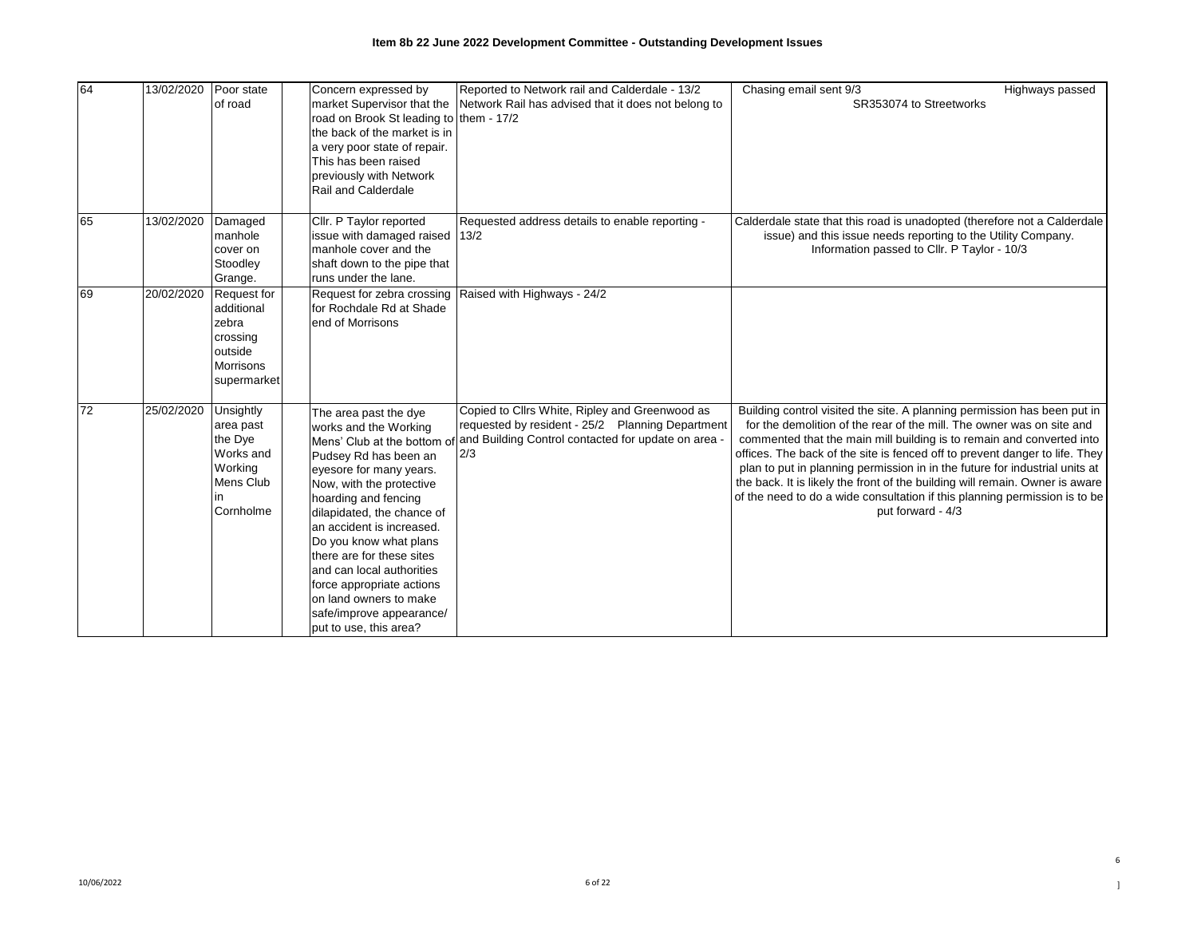| 64 | 13/02/2020 | Poor state                                                                                   | Concern expressed by                                                                                                                                                                                                                                                                                                                                                                                                                              | Reported to Network rail and Calderdale - 13/2                                                                                                                   | Chasing email sent 9/3                                                                                                                                                                                                                                                                                                                                                                                                                                                                                                                                                      | Highways passed |
|----|------------|----------------------------------------------------------------------------------------------|---------------------------------------------------------------------------------------------------------------------------------------------------------------------------------------------------------------------------------------------------------------------------------------------------------------------------------------------------------------------------------------------------------------------------------------------------|------------------------------------------------------------------------------------------------------------------------------------------------------------------|-----------------------------------------------------------------------------------------------------------------------------------------------------------------------------------------------------------------------------------------------------------------------------------------------------------------------------------------------------------------------------------------------------------------------------------------------------------------------------------------------------------------------------------------------------------------------------|-----------------|
|    |            | of road                                                                                      | market Supervisor that the<br>road on Brook St leading to<br>the back of the market is in<br>a very poor state of repair.<br>This has been raised<br>previously with Network<br>Rail and Calderdale                                                                                                                                                                                                                                               | Network Rail has advised that it does not belong to<br>them - 17/2                                                                                               | SR353074 to Streetworks                                                                                                                                                                                                                                                                                                                                                                                                                                                                                                                                                     |                 |
| 65 | 13/02/2020 | Damaged<br>manhole<br>cover on<br>Stoodley<br>Grange.                                        | Cllr. P Taylor reported<br>issue with damaged raised<br>manhole cover and the<br>shaft down to the pipe that<br>runs under the lane.                                                                                                                                                                                                                                                                                                              | Requested address details to enable reporting -<br>13/2                                                                                                          | Calderdale state that this road is unadopted (therefore not a Calderdale<br>issue) and this issue needs reporting to the Utility Company.<br>Information passed to Cllr. P Taylor - 10/3                                                                                                                                                                                                                                                                                                                                                                                    |                 |
| 69 | 20/02/2020 | Request for<br>additional<br>zebra<br>crossing<br>outside<br><b>Morrisons</b><br>supermarket | Request for zebra crossing<br>for Rochdale Rd at Shade<br>end of Morrisons                                                                                                                                                                                                                                                                                                                                                                        | Raised with Highways - 24/2                                                                                                                                      |                                                                                                                                                                                                                                                                                                                                                                                                                                                                                                                                                                             |                 |
| 72 | 25/02/2020 | Unsightly<br>area past<br>the Dye<br>Works and<br>Working<br>Mens Club<br>in.<br>Cornholme   | The area past the dye<br>works and the Working<br>Mens' Club at the bottom of<br>Pudsey Rd has been an<br>eyesore for many years.<br>Now, with the protective<br>hoarding and fencing<br>dilapidated, the chance of<br>an accident is increased.<br>Do you know what plans<br>there are for these sites<br>and can local authorities<br>force appropriate actions<br>on land owners to make<br>safe/improve appearance/<br>put to use, this area? | Copied to Cllrs White, Ripley and Greenwood as<br>requested by resident - 25/2 Planning Department<br>and Building Control contacted for update on area -<br>2/3 | Building control visited the site. A planning permission has been put in<br>for the demolition of the rear of the mill. The owner was on site and<br>commented that the main mill building is to remain and converted into<br>offices. The back of the site is fenced off to prevent danger to life. They<br>plan to put in planning permission in in the future for industrial units at<br>the back. It is likely the front of the building will remain. Owner is aware<br>of the need to do a wide consultation if this planning permission is to be<br>put forward - 4/3 |                 |

6  $\begin{array}{c} \hline \end{array}$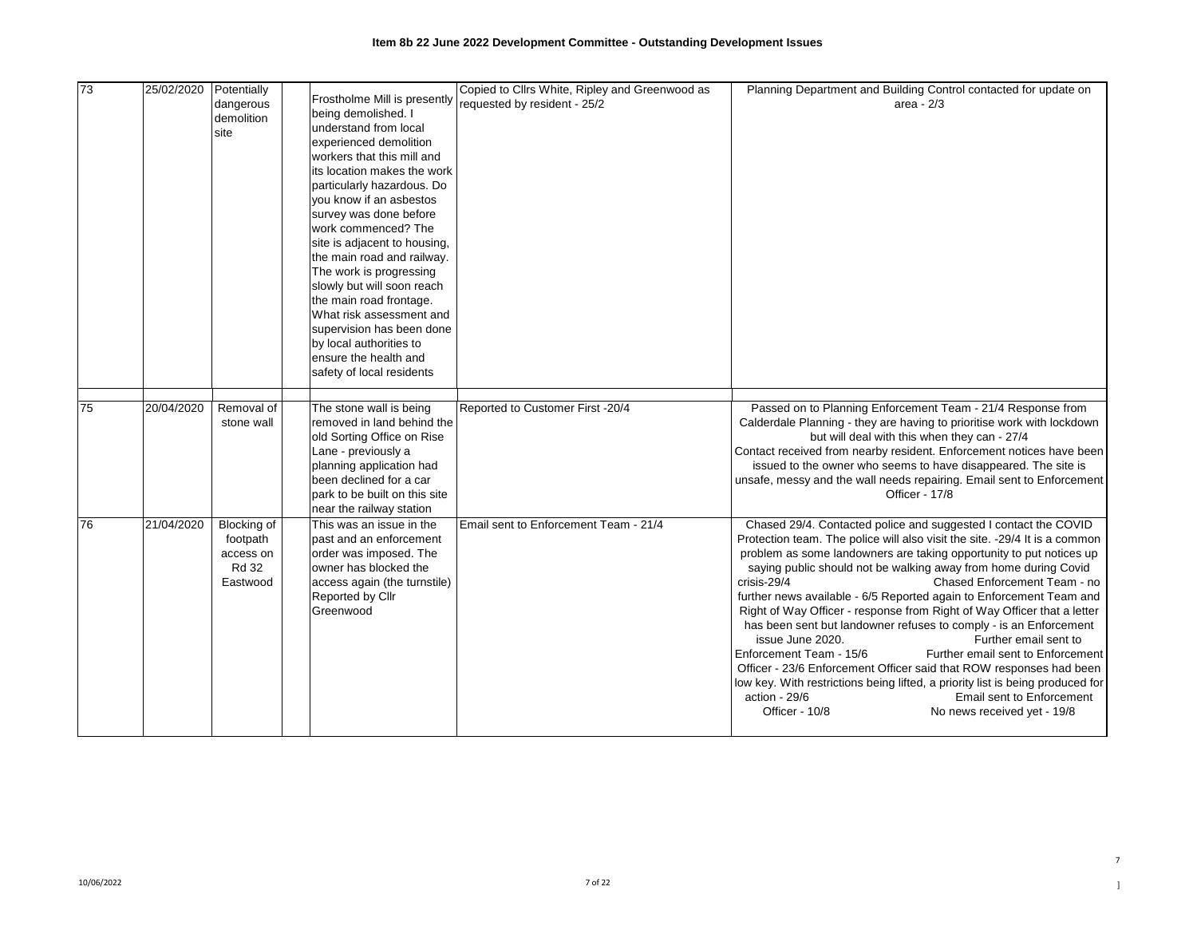| 73              | 25/02/2020 | Potentially  |                               | Copied to Cllrs White, Ripley and Greenwood as | Planning Department and Building Control contacted for update on               |
|-----------------|------------|--------------|-------------------------------|------------------------------------------------|--------------------------------------------------------------------------------|
|                 |            | dangerous    | Frostholme Mill is presently  | requested by resident - 25/2                   | area - $2/3$                                                                   |
|                 |            | demolition   | being demolished. I           |                                                |                                                                                |
|                 |            | site         | understand from local         |                                                |                                                                                |
|                 |            |              | experienced demolition        |                                                |                                                                                |
|                 |            |              | workers that this mill and    |                                                |                                                                                |
|                 |            |              | its location makes the work   |                                                |                                                                                |
|                 |            |              | particularly hazardous. Do    |                                                |                                                                                |
|                 |            |              | you know if an asbestos       |                                                |                                                                                |
|                 |            |              | survey was done before        |                                                |                                                                                |
|                 |            |              | work commenced? The           |                                                |                                                                                |
|                 |            |              | site is adjacent to housing,  |                                                |                                                                                |
|                 |            |              | the main road and railway.    |                                                |                                                                                |
|                 |            |              | The work is progressing       |                                                |                                                                                |
|                 |            |              | slowly but will soon reach    |                                                |                                                                                |
|                 |            |              | the main road frontage.       |                                                |                                                                                |
|                 |            |              | What risk assessment and      |                                                |                                                                                |
|                 |            |              | supervision has been done     |                                                |                                                                                |
|                 |            |              | by local authorities to       |                                                |                                                                                |
|                 |            |              | ensure the health and         |                                                |                                                                                |
|                 |            |              | safety of local residents     |                                                |                                                                                |
|                 |            |              |                               |                                                |                                                                                |
| $\overline{75}$ | 20/04/2020 | Removal of   | The stone wall is being       | Reported to Customer First -20/4               | Passed on to Planning Enforcement Team - 21/4 Response from                    |
|                 |            | stone wall   | removed in land behind the    |                                                | Calderdale Planning - they are having to prioritise work with lockdown         |
|                 |            |              | old Sorting Office on Rise    |                                                | but will deal with this when they can - 27/4                                   |
|                 |            |              | Lane - previously a           |                                                | Contact received from nearby resident. Enforcement notices have been           |
|                 |            |              | planning application had      |                                                | issued to the owner who seems to have disappeared. The site is                 |
|                 |            |              | been declined for a car       |                                                | unsafe, messy and the wall needs repairing. Email sent to Enforcement          |
|                 |            |              | park to be built on this site |                                                | Officer - 17/8                                                                 |
|                 |            |              | near the railway station      |                                                |                                                                                |
| 176             | 21/04/2020 | Blocking of  | This was an issue in the      | Email sent to Enforcement Team - 21/4          | Chased 29/4. Contacted police and suggested I contact the COVID                |
|                 |            | footpath     | past and an enforcement       |                                                | Protection team. The police will also visit the site. -29/4 It is a common     |
|                 |            | access on    | order was imposed. The        |                                                | problem as some landowners are taking opportunity to put notices up            |
|                 |            | <b>Rd 32</b> | owner has blocked the         |                                                | saying public should not be walking away from home during Covid                |
|                 |            | Eastwood     | access again (the turnstile)  |                                                | Chased Enforcement Team - no<br>crisis-29/4                                    |
|                 |            |              | Reported by Cllr              |                                                | further news available - 6/5 Reported again to Enforcement Team and            |
|                 |            |              | Greenwood                     |                                                | Right of Way Officer - response from Right of Way Officer that a letter        |
|                 |            |              |                               |                                                | has been sent but landowner refuses to comply - is an Enforcement              |
|                 |            |              |                               |                                                | issue June 2020.<br>Further email sent to                                      |
|                 |            |              |                               |                                                | Further email sent to Enforcement<br>Enforcement Team - 15/6                   |
|                 |            |              |                               |                                                | Officer - 23/6 Enforcement Officer said that ROW responses had been            |
|                 |            |              |                               |                                                | low key. With restrictions being lifted, a priority list is being produced for |
|                 |            |              |                               |                                                | action - 29/6<br>Email sent to Enforcement                                     |
|                 |            |              |                               |                                                | Officer - 10/8<br>No news received yet - 19/8                                  |
|                 |            |              |                               |                                                |                                                                                |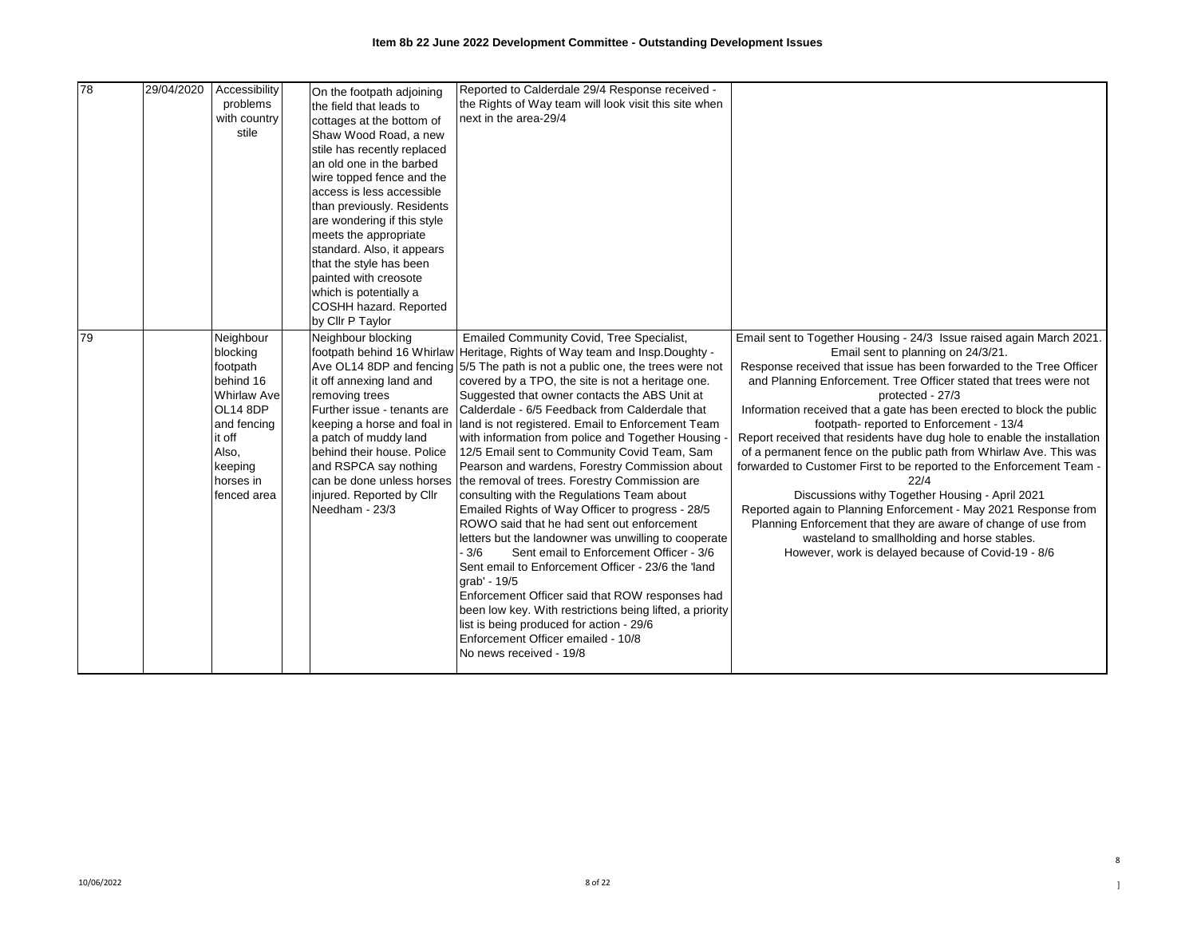| 78 | 29/04/2020 | Accessibility<br>problems<br>with country<br>stile                                                                                                        | On the footpath adjoining<br>the field that leads to<br>cottages at the bottom of<br>Shaw Wood Road, a new<br>stile has recently replaced<br>an old one in the barbed<br>wire topped fence and the<br>access is less accessible<br>than previously. Residents<br>are wondering if this style<br>meets the appropriate<br>standard. Also, it appears<br>that the style has been<br>painted with creosote<br>which is potentially a<br>COSHH hazard. Reported | Reported to Calderdale 29/4 Response received -<br>the Rights of Way team will look visit this site when<br>next in the area-29/4                                                                                                                                                                                                                                                                                                                                                                                                                                                                                                                                                                                                                                                                                                                                                                                                                                                                                                                                                                                                                                                            |                                                                                                                                                                                                                                                                                                                                                                                                                                                                                                                                                                                                                                                                                                                                                                                                                                                                                                                               |
|----|------------|-----------------------------------------------------------------------------------------------------------------------------------------------------------|-------------------------------------------------------------------------------------------------------------------------------------------------------------------------------------------------------------------------------------------------------------------------------------------------------------------------------------------------------------------------------------------------------------------------------------------------------------|----------------------------------------------------------------------------------------------------------------------------------------------------------------------------------------------------------------------------------------------------------------------------------------------------------------------------------------------------------------------------------------------------------------------------------------------------------------------------------------------------------------------------------------------------------------------------------------------------------------------------------------------------------------------------------------------------------------------------------------------------------------------------------------------------------------------------------------------------------------------------------------------------------------------------------------------------------------------------------------------------------------------------------------------------------------------------------------------------------------------------------------------------------------------------------------------|-------------------------------------------------------------------------------------------------------------------------------------------------------------------------------------------------------------------------------------------------------------------------------------------------------------------------------------------------------------------------------------------------------------------------------------------------------------------------------------------------------------------------------------------------------------------------------------------------------------------------------------------------------------------------------------------------------------------------------------------------------------------------------------------------------------------------------------------------------------------------------------------------------------------------------|
| 79 |            | Neighbour<br>blocking<br>footpath<br>behind 16<br><b>Whirlaw Ave</b><br>OL14 8DP<br>and fencing<br>it off<br>Also,<br>keeping<br>horses in<br>fenced area | by Cllr P Taylor<br>Neighbour blocking<br>it off annexing land and<br>removing trees<br>Further issue - tenants are<br>keeping a horse and foal in<br>a patch of muddy land<br>behind their house. Police<br>and RSPCA say nothing<br>can be done unless horses<br>injured. Reported by Cllr<br>Needham - 23/3                                                                                                                                              | Emailed Community Covid, Tree Specialist,<br>footpath behind 16 Whirlaw Heritage, Rights of Way team and Insp. Doughty -<br>Ave OL14 8DP and fencing 5/5 The path is not a public one, the trees were not<br>covered by a TPO, the site is not a heritage one.<br>Suggested that owner contacts the ABS Unit at<br>Calderdale - 6/5 Feedback from Calderdale that<br>land is not registered. Email to Enforcement Team<br>with information from police and Together Housing<br>12/5 Email sent to Community Covid Team, Sam<br>Pearson and wardens, Forestry Commission about<br>the removal of trees. Forestry Commission are<br>consulting with the Regulations Team about<br>Emailed Rights of Way Officer to progress - 28/5<br>ROWO said that he had sent out enforcement<br>letters but the landowner was unwilling to cooperate<br>Sent email to Enforcement Officer - 3/6<br>- 3/6<br>Sent email to Enforcement Officer - 23/6 the 'land<br>grab' - 19/5<br>Enforcement Officer said that ROW responses had<br>been low key. With restrictions being lifted, a priority<br>list is being produced for action - 29/6<br>Enforcement Officer emailed - 10/8<br>No news received - 19/8 | Email sent to Together Housing - 24/3 Issue raised again March 2021.<br>Email sent to planning on 24/3/21.<br>Response received that issue has been forwarded to the Tree Officer<br>and Planning Enforcement. Tree Officer stated that trees were not<br>protected - 27/3<br>Information received that a gate has been erected to block the public<br>footpath-reported to Enforcement - 13/4<br>Report received that residents have dug hole to enable the installation<br>of a permanent fence on the public path from Whirlaw Ave. This was<br>forwarded to Customer First to be reported to the Enforcement Team -<br>22/4<br>Discussions withy Together Housing - April 2021<br>Reported again to Planning Enforcement - May 2021 Response from<br>Planning Enforcement that they are aware of change of use from<br>wasteland to smallholding and horse stables.<br>However, work is delayed because of Covid-19 - 8/6 |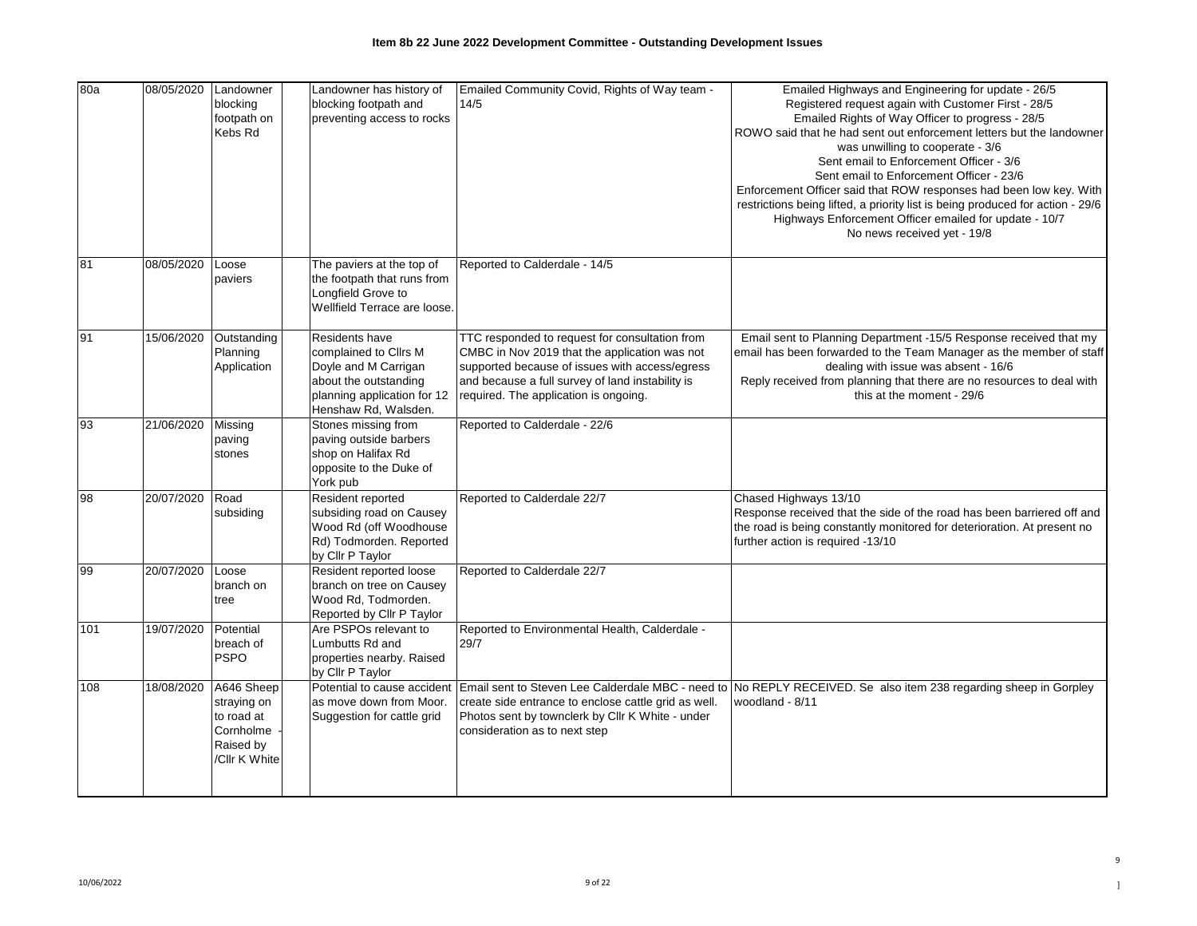| 80a | 08/05/2020 | Landowner<br>blocking<br>footpath on<br>Kebs Rd                                    | Landowner has history of<br>blocking footpath and<br>preventing access to rocks                                                                 | Emailed Community Covid, Rights of Way team -<br>14/5                                                                                                                                                                                          | Emailed Highways and Engineering for update - 26/5<br>Registered request again with Customer First - 28/5<br>Emailed Rights of Way Officer to progress - 28/5<br>ROWO said that he had sent out enforcement letters but the landowner<br>was unwilling to cooperate - 3/6<br>Sent email to Enforcement Officer - 3/6<br>Sent email to Enforcement Officer - 23/6<br>Enforcement Officer said that ROW responses had been low key. With<br>restrictions being lifted, a priority list is being produced for action - 29/6<br>Highways Enforcement Officer emailed for update - 10/7<br>No news received yet - 19/8 |
|-----|------------|------------------------------------------------------------------------------------|-------------------------------------------------------------------------------------------------------------------------------------------------|------------------------------------------------------------------------------------------------------------------------------------------------------------------------------------------------------------------------------------------------|-------------------------------------------------------------------------------------------------------------------------------------------------------------------------------------------------------------------------------------------------------------------------------------------------------------------------------------------------------------------------------------------------------------------------------------------------------------------------------------------------------------------------------------------------------------------------------------------------------------------|
| 81  | 08/05/2020 | Loose<br>paviers                                                                   | The paviers at the top of<br>the footpath that runs from<br>Longfield Grove to<br>Wellfield Terrace are loose.                                  | Reported to Calderdale - 14/5                                                                                                                                                                                                                  |                                                                                                                                                                                                                                                                                                                                                                                                                                                                                                                                                                                                                   |
| 91  | 15/06/2020 | Outstanding<br>Planning<br>Application                                             | Residents have<br>complained to Cllrs M<br>Doyle and M Carrigan<br>about the outstanding<br>planning application for 12<br>Henshaw Rd, Walsden. | TTC responded to request for consultation from<br>CMBC in Nov 2019 that the application was not<br>supported because of issues with access/egress<br>and because a full survey of land instability is<br>required. The application is ongoing. | Email sent to Planning Department -15/5 Response received that my<br>email has been forwarded to the Team Manager as the member of staff<br>dealing with issue was absent - 16/6<br>Reply received from planning that there are no resources to deal with<br>this at the moment - 29/6                                                                                                                                                                                                                                                                                                                            |
| 93  | 21/06/2020 | Missing<br>paving<br>stones                                                        | Stones missing from<br>paving outside barbers<br>shop on Halifax Rd<br>opposite to the Duke of<br>York pub                                      | Reported to Calderdale - 22/6                                                                                                                                                                                                                  |                                                                                                                                                                                                                                                                                                                                                                                                                                                                                                                                                                                                                   |
| 86  | 20/07/2020 | Road<br>subsiding                                                                  | Resident reported<br>subsiding road on Causey<br>Wood Rd (off Woodhouse<br>Rd) Todmorden. Reported<br>by Cllr P Taylor                          | Reported to Calderdale 22/7                                                                                                                                                                                                                    | Chased Highways 13/10<br>Response received that the side of the road has been barriered off and<br>the road is being constantly monitored for deterioration. At present no<br>further action is required -13/10                                                                                                                                                                                                                                                                                                                                                                                                   |
| 99  | 20/07/2020 | Loose<br>branch on<br>tree                                                         | Resident reported loose<br>branch on tree on Causey<br>Wood Rd, Todmorden.<br>Reported by Cllr P Taylor                                         | Reported to Calderdale 22/7                                                                                                                                                                                                                    |                                                                                                                                                                                                                                                                                                                                                                                                                                                                                                                                                                                                                   |
| 101 | 19/07/2020 | Potential<br>breach of<br><b>PSPO</b>                                              | Are PSPOs relevant to<br>Lumbutts Rd and<br>properties nearby. Raised<br>by Cllr P Taylor                                                       | Reported to Environmental Health, Calderdale -<br>29/7                                                                                                                                                                                         |                                                                                                                                                                                                                                                                                                                                                                                                                                                                                                                                                                                                                   |
| 108 | 18/08/2020 | A646 Sheep<br>straying on<br>to road at<br>Cornholme<br>Raised by<br>/Cllr K White | Potential to cause accident<br>as move down from Moor.<br>Suggestion for cattle grid                                                            | create side entrance to enclose cattle grid as well.<br>Photos sent by townclerk by Cllr K White - under<br>consideration as to next step                                                                                                      | Email sent to Steven Lee Calderdale MBC - need to No REPLY RECEIVED. Se also item 238 regarding sheep in Gorpley<br>woodland - 8/11                                                                                                                                                                                                                                                                                                                                                                                                                                                                               |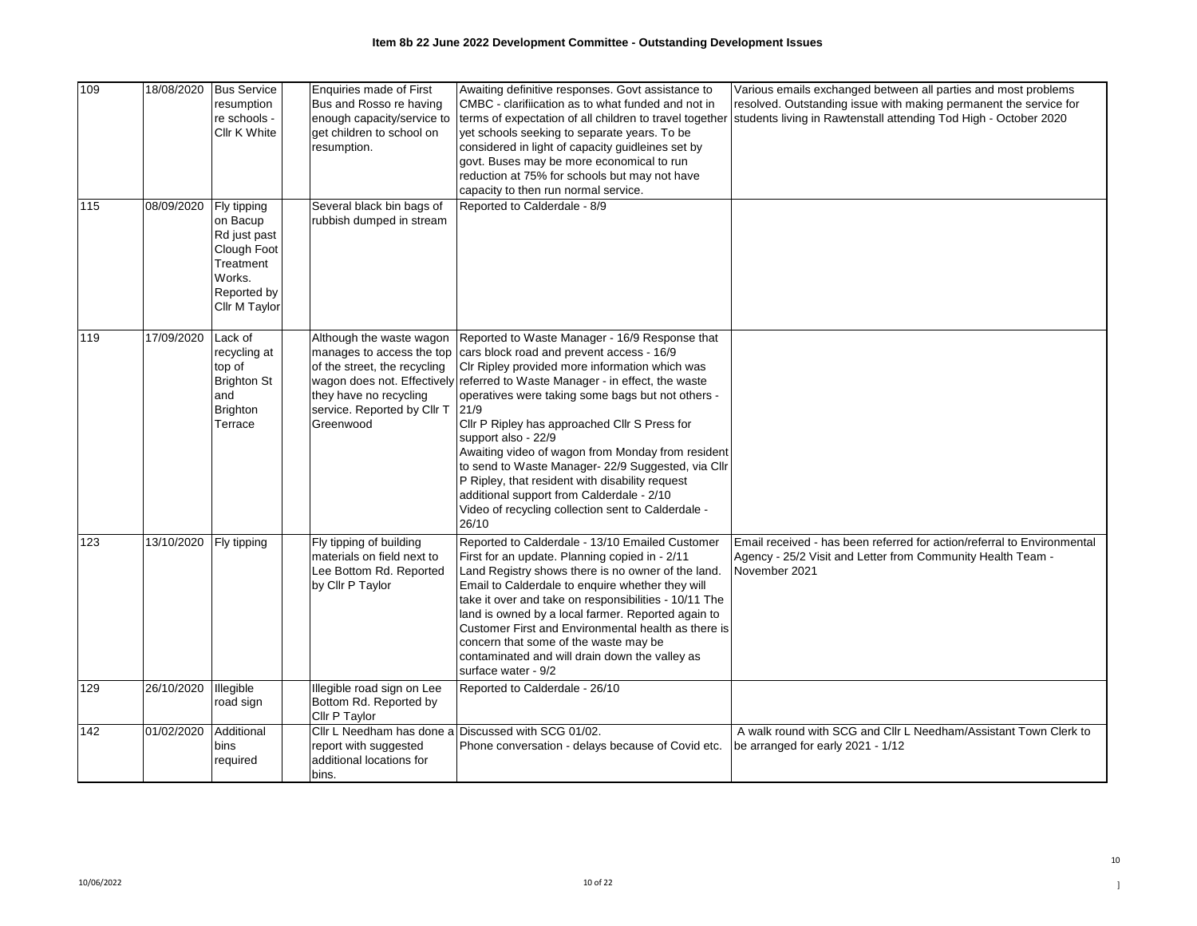| 109<br>$\frac{115}{115}$ | 18/08/2020<br>08/09/2020 | <b>Bus Service</b><br>resumption<br>re schools -<br>Cllr K White<br>Fly tipping                | Enquiries made of First<br>Bus and Rosso re having<br>enough capacity/service to<br>get children to school on<br>resumption.<br>Several black bin bags of   | Awaiting definitive responses. Govt assistance to<br>CMBC - clarifiication as to what funded and not in<br>terms of expectation of all children to travel together<br>yet schools seeking to separate years. To be<br>considered in light of capacity guidleines set by<br>govt. Buses may be more economical to run<br>reduction at 75% for schools but may not have<br>capacity to then run normal service.<br>Reported to Calderdale - 8/9                                                                                                                                                                                                | Various emails exchanged between all parties and most problems<br>resolved. Outstanding issue with making permanent the service for<br>students living in Rawtenstall attending Tod High - October 2020 |
|--------------------------|--------------------------|------------------------------------------------------------------------------------------------|-------------------------------------------------------------------------------------------------------------------------------------------------------------|----------------------------------------------------------------------------------------------------------------------------------------------------------------------------------------------------------------------------------------------------------------------------------------------------------------------------------------------------------------------------------------------------------------------------------------------------------------------------------------------------------------------------------------------------------------------------------------------------------------------------------------------|---------------------------------------------------------------------------------------------------------------------------------------------------------------------------------------------------------|
|                          |                          | on Bacup<br>Rd just past<br>Clough Foot<br>Treatment<br>Works.<br>Reported by<br>Cllr M Taylor | rubbish dumped in stream                                                                                                                                    |                                                                                                                                                                                                                                                                                                                                                                                                                                                                                                                                                                                                                                              |                                                                                                                                                                                                         |
| 119                      | 17/09/2020               | Lack of<br>recycling at<br>top of<br><b>Brighton St</b><br>and<br><b>Brighton</b><br>Terrace   | Although the waste wagon<br>manages to access the top<br>of the street, the recycling<br>they have no recycling<br>service. Reported by Cllr T<br>Greenwood | Reported to Waste Manager - 16/9 Response that<br>cars block road and prevent access - 16/9<br>CIr Ripley provided more information which was<br>wagon does not. Effectively referred to Waste Manager - in effect, the waste<br>operatives were taking some bags but not others -<br>21/9<br>Cllr P Ripley has approached Cllr S Press for<br>support also - 22/9<br>Awaiting video of wagon from Monday from resident<br>to send to Waste Manager- 22/9 Suggested, via Cllr<br>P Ripley, that resident with disability request<br>additional support from Calderdale - 2/10<br>Video of recycling collection sent to Calderdale -<br>26/10 |                                                                                                                                                                                                         |
| 123                      | 13/10/2020               | Fly tipping                                                                                    | Fly tipping of building<br>materials on field next to<br>Lee Bottom Rd. Reported<br>by Cllr P Taylor                                                        | Reported to Calderdale - 13/10 Emailed Customer<br>First for an update. Planning copied in - 2/11<br>Land Registry shows there is no owner of the land.<br>Email to Calderdale to enquire whether they will<br>take it over and take on responsibilities - 10/11 The<br>land is owned by a local farmer. Reported again to<br>Customer First and Environmental health as there is<br>concern that some of the waste may be<br>contaminated and will drain down the valley as<br>surface water - 9/2                                                                                                                                          | Email received - has been referred for action/referral to Environmental<br>Agency - 25/2 Visit and Letter from Community Health Team -<br>November 2021                                                 |
| 129                      | 26/10/2020               | Illegible<br>road sign                                                                         | Illegible road sign on Lee<br>Bottom Rd. Reported by<br>Cllr P Taylor                                                                                       | Reported to Calderdale - 26/10                                                                                                                                                                                                                                                                                                                                                                                                                                                                                                                                                                                                               |                                                                                                                                                                                                         |
| 142                      | 01/02/2020               | Additional<br>bins<br>required                                                                 | Cllr L Needham has done a<br>report with suggested<br>additional locations for<br>bins.                                                                     | Discussed with SCG 01/02.<br>Phone conversation - delays because of Covid etc.                                                                                                                                                                                                                                                                                                                                                                                                                                                                                                                                                               | A walk round with SCG and Cllr L Needham/Assistant Town Clerk to<br>be arranged for early 2021 - 1/12                                                                                                   |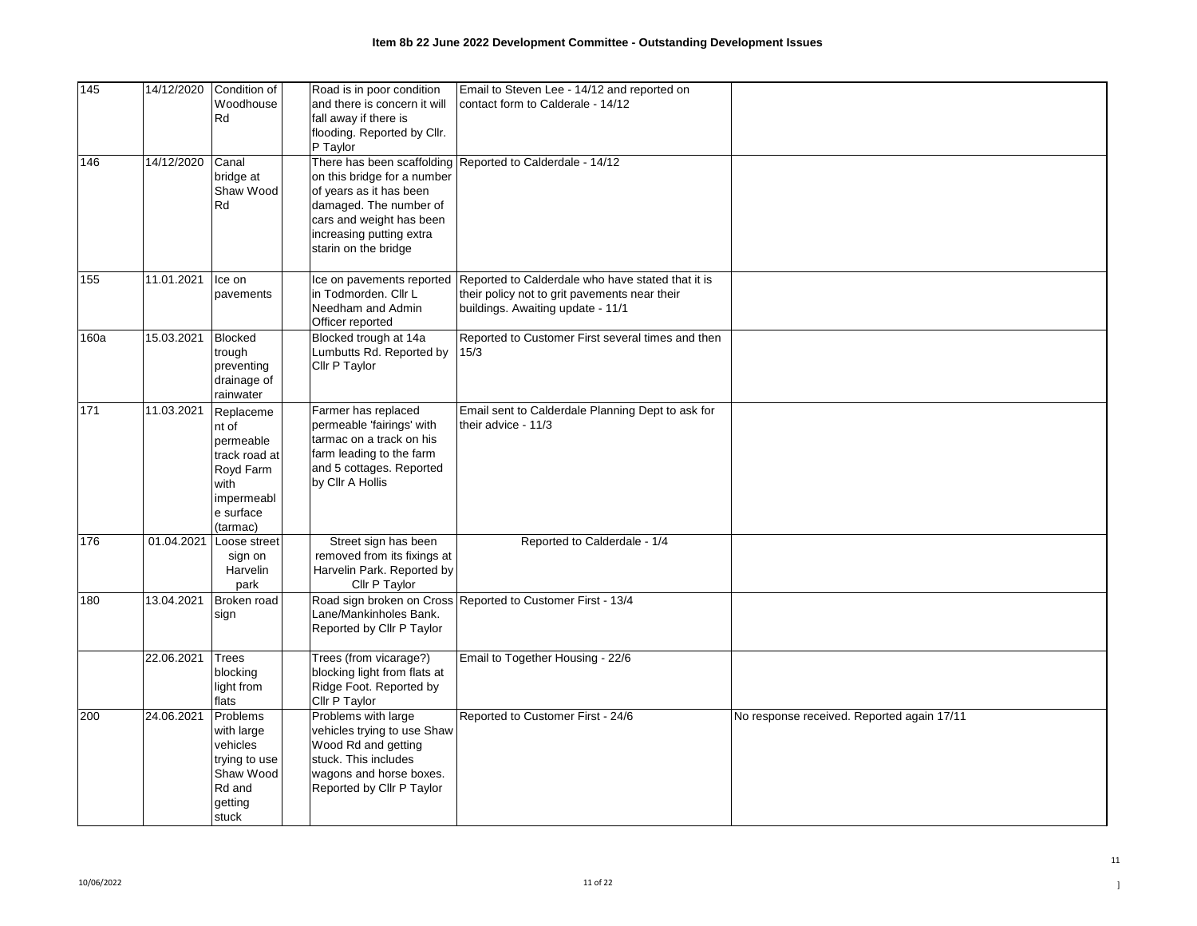| 145  | 14/12/2020 | Condition of<br>Woodhouse<br>Rd                                                                              | Road is in poor condition<br>and there is concern it will<br>fall away if there is<br>flooding. Reported by Cllr.<br>P Taylor                                    | Email to Steven Lee - 14/12 and reported on<br>contact form to Calderale - 14/12                                                                                  |                                            |
|------|------------|--------------------------------------------------------------------------------------------------------------|------------------------------------------------------------------------------------------------------------------------------------------------------------------|-------------------------------------------------------------------------------------------------------------------------------------------------------------------|--------------------------------------------|
| 146  | 14/12/2020 | Canal<br>bridge at<br>Shaw Wood<br>Rd                                                                        | on this bridge for a number<br>of years as it has been<br>damaged. The number of<br>cars and weight has been<br>increasing putting extra<br>starin on the bridge | There has been scaffolding Reported to Calderdale - 14/12                                                                                                         |                                            |
| 155  | 11.01.2021 | Ice on<br>pavements                                                                                          | in Todmorden. Cllr L<br>Needham and Admin<br>Officer reported                                                                                                    | Ice on pavements reported Reported to Calderdale who have stated that it is<br>their policy not to grit pavements near their<br>buildings. Awaiting update - 11/1 |                                            |
| 160a | 15.03.2021 | <b>Blocked</b><br>trough<br>preventing<br>drainage of<br>rainwater                                           | Blocked trough at 14a<br>Lumbutts Rd. Reported by<br>Cllr P Taylor                                                                                               | Reported to Customer First several times and then<br>15/3                                                                                                         |                                            |
| 171  | 11.03.2021 | Replaceme<br>nt of<br>permeable<br>track road at<br>Royd Farm<br>with<br>impermeabl<br>e surface<br>(tarmac) | Farmer has replaced<br>permeable 'fairings' with<br>tarmac on a track on his<br>farm leading to the farm<br>and 5 cottages. Reported<br>by Cllr A Hollis         | Email sent to Calderdale Planning Dept to ask for<br>their advice - 11/3                                                                                          |                                            |
| 176  |            | 01.04.2021 Loose street<br>sign on<br>Harvelin<br>park                                                       | Street sign has been<br>removed from its fixings at<br>Harvelin Park. Reported by<br>Cllr P Taylor                                                               | Reported to Calderdale - 1/4                                                                                                                                      |                                            |
| 180  | 13.04.2021 | Broken road<br>sign                                                                                          | Lane/Mankinholes Bank.<br>Reported by Cllr P Taylor                                                                                                              | Road sign broken on Cross Reported to Customer First - 13/4                                                                                                       |                                            |
|      | 22.06.2021 | Trees<br>blocking<br>light from<br>flats                                                                     | Trees (from vicarage?)<br>blocking light from flats at<br>Ridge Foot. Reported by<br>Cllr P Taylor                                                               | Email to Together Housing - 22/6                                                                                                                                  |                                            |
| 200  | 24.06.2021 | Problems<br>with large<br>vehicles<br>trying to use<br>Shaw Wood<br>Rd and<br>getting<br>stuck               | Problems with large<br>vehicles trying to use Shaw<br>Wood Rd and getting<br>stuck. This includes<br>wagons and horse boxes.<br>Reported by Cllr P Taylor        | Reported to Customer First - 24/6                                                                                                                                 | No response received. Reported again 17/11 |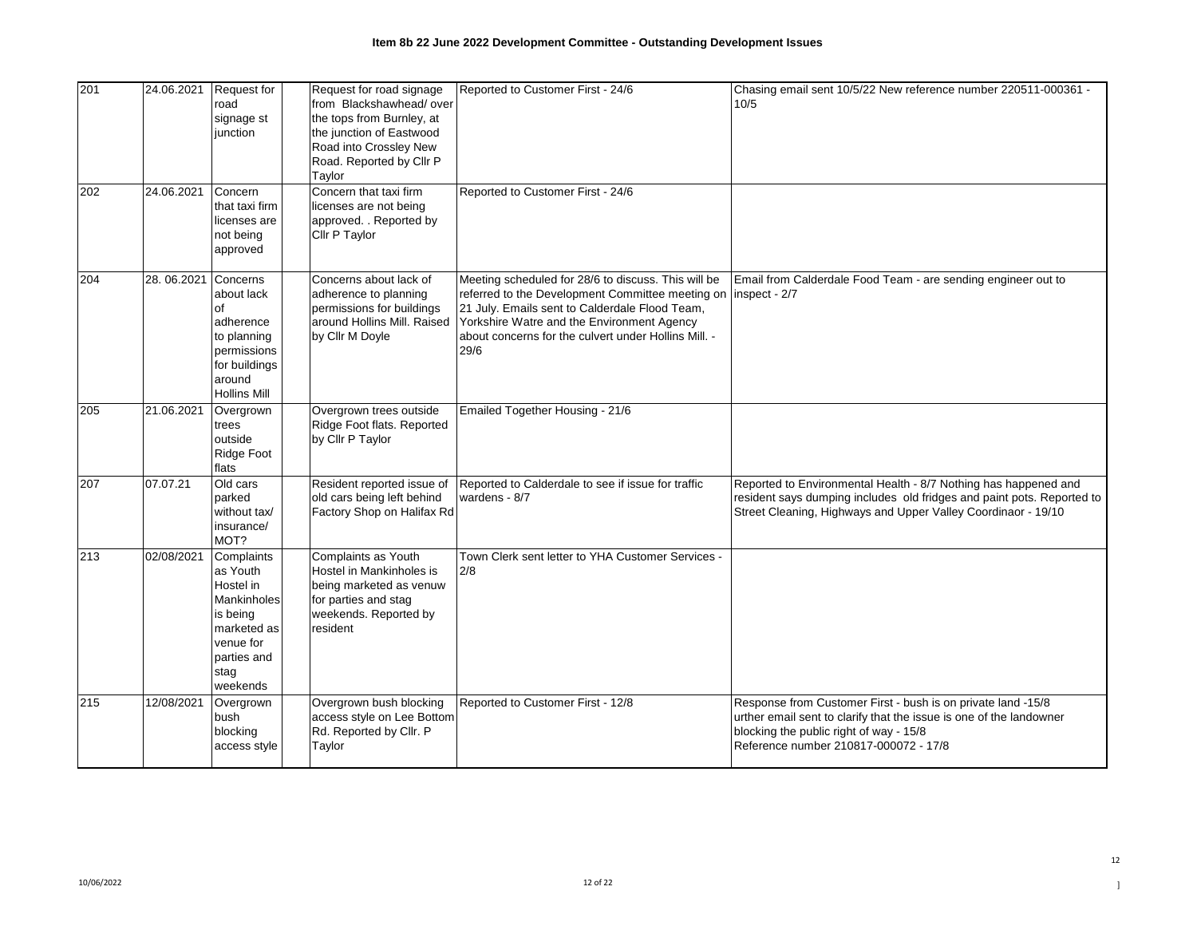| 201 | 24.06.2021 | <b>Request for</b><br>road<br>signage st<br>iunction                                                                                 | Request for road signage<br>from Blackshawhead/over<br>the tops from Burnley, at<br>the junction of Eastwood<br>Road into Crossley New<br>Road. Reported by Cllr P<br>Taylor | Reported to Customer First - 24/6                                                                                                                                                                                                                                       | Chasing email sent 10/5/22 New reference number 220511-000361 -<br>10/5                                                                                                                                                 |
|-----|------------|--------------------------------------------------------------------------------------------------------------------------------------|------------------------------------------------------------------------------------------------------------------------------------------------------------------------------|-------------------------------------------------------------------------------------------------------------------------------------------------------------------------------------------------------------------------------------------------------------------------|-------------------------------------------------------------------------------------------------------------------------------------------------------------------------------------------------------------------------|
| 202 | 24.06.2021 | Concern<br>that taxi firm<br>licenses are<br>not being<br>approved                                                                   | Concern that taxi firm<br>licenses are not being<br>approved. . Reported by<br>Cllr P Taylor                                                                                 | Reported to Customer First - 24/6                                                                                                                                                                                                                                       |                                                                                                                                                                                                                         |
| 204 | 28.06.2021 | Concerns<br>about lack<br>of<br>adherence<br>to planning<br>permissions<br>for buildings<br>around<br><b>Hollins Mill</b>            | Concerns about lack of<br>adherence to planning<br>permissions for buildings<br>around Hollins Mill. Raised<br>by Cllr M Doyle                                               | Meeting scheduled for 28/6 to discuss. This will be<br>referred to the Development Committee meeting on<br>21 July. Emails sent to Calderdale Flood Team,<br>Yorkshire Watre and the Environment Agency<br>about concerns for the culvert under Hollins Mill. -<br>29/6 | Email from Calderdale Food Team - are sending engineer out to<br>inspect - 2/7                                                                                                                                          |
| 205 | 21.06.2021 | Overgrown<br>trees<br>outside<br>Ridge Foot<br>flats                                                                                 | Overgrown trees outside<br>Ridge Foot flats. Reported<br>by Cllr P Taylor                                                                                                    | Emailed Together Housing - 21/6                                                                                                                                                                                                                                         |                                                                                                                                                                                                                         |
| 207 | 07.07.21   | Old cars<br>parked<br>without tax/<br>insurance/<br>MOT?                                                                             | Resident reported issue of<br>old cars being left behind<br>Factory Shop on Halifax Rd                                                                                       | Reported to Calderdale to see if issue for traffic<br>wardens - 8/7                                                                                                                                                                                                     | Reported to Environmental Health - 8/7 Nothing has happened and<br>resident says dumping includes old fridges and paint pots. Reported to<br>Street Cleaning, Highways and Upper Valley Coordinaor - 19/10              |
| 213 | 02/08/2021 | Complaints<br>as Youth<br><b>Hostel</b> in<br>Mankinholes<br>is being<br>marketed as<br>venue for<br>parties and<br>stag<br>weekends | Complaints as Youth<br>Hostel in Mankinholes is<br>being marketed as venuw<br>for parties and stag<br>weekends. Reported by<br>resident                                      | Town Clerk sent letter to YHA Customer Services -<br>2/8                                                                                                                                                                                                                |                                                                                                                                                                                                                         |
| 215 | 12/08/2021 | Overgrown<br>bush<br>blocking<br>access style                                                                                        | Overgrown bush blocking<br>access style on Lee Bottom<br>Rd. Reported by Cllr. P<br>Taylor                                                                                   | Reported to Customer First - 12/8                                                                                                                                                                                                                                       | Response from Customer First - bush is on private land -15/8<br>urther email sent to clarify that the issue is one of the landowner<br>blocking the public right of way - 15/8<br>Reference number 210817-000072 - 17/8 |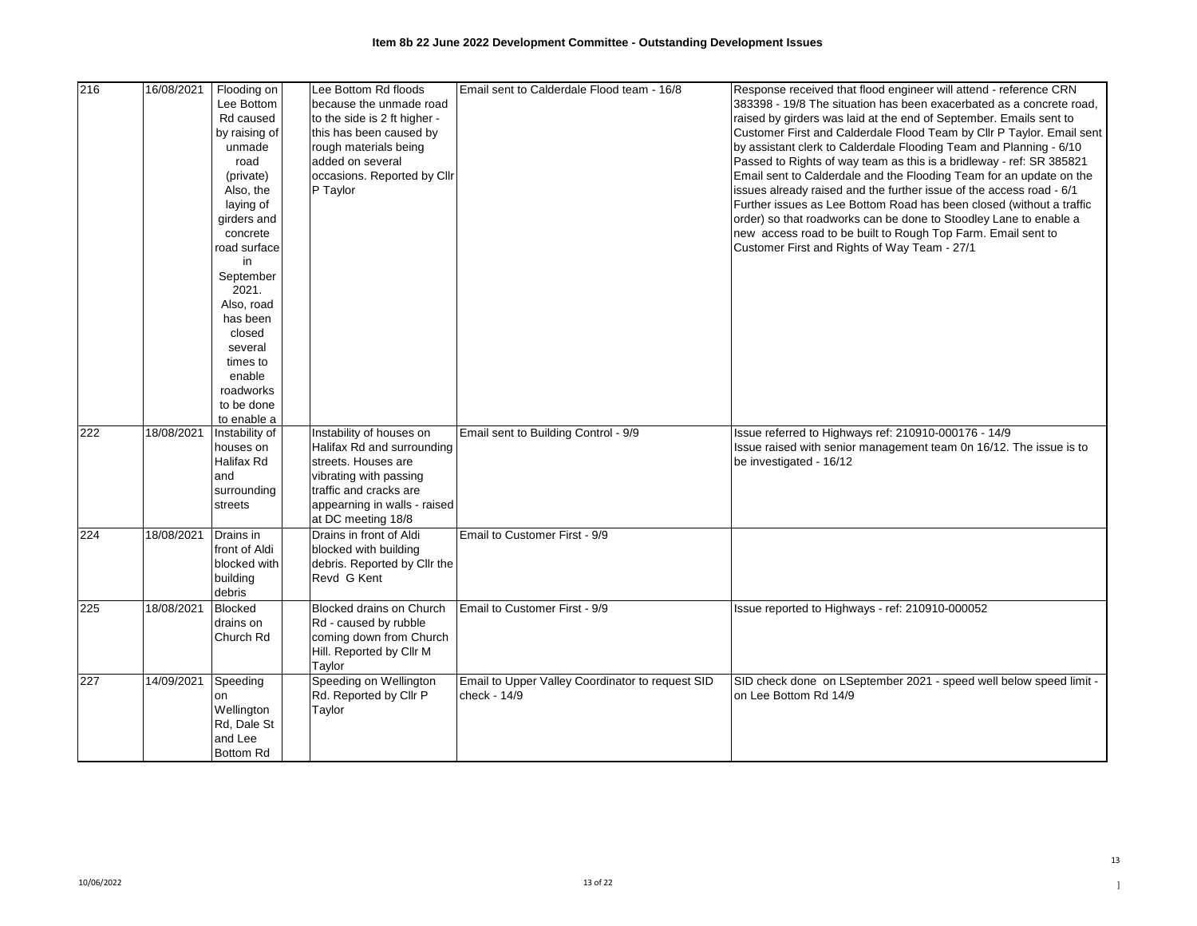| 216 | 16/08/2021 | Flooding on               | Lee Bottom Rd floods                        | Email sent to Calderdale Flood team - 16/8       | Response received that flood engineer will attend - reference CRN     |
|-----|------------|---------------------------|---------------------------------------------|--------------------------------------------------|-----------------------------------------------------------------------|
|     |            | Lee Bottom                | because the unmade road                     |                                                  | 383398 - 19/8 The situation has been exacerbated as a concrete road,  |
|     |            | Rd caused                 | to the side is 2 ft higher -                |                                                  | raised by girders was laid at the end of September. Emails sent to    |
|     |            | by raising of             | this has been caused by                     |                                                  | Customer First and Calderdale Flood Team by Cllr P Taylor. Email sent |
|     |            | unmade                    | rough materials being                       |                                                  | by assistant clerk to Calderdale Flooding Team and Planning - 6/10    |
|     |            | road                      | added on several                            |                                                  | Passed to Rights of way team as this is a bridleway - ref: SR 385821  |
|     |            | (private)                 | occasions. Reported by Cllr                 |                                                  | Email sent to Calderdale and the Flooding Team for an update on the   |
|     |            | Also, the                 | P Taylor                                    |                                                  | issues already raised and the further issue of the access road - 6/1  |
|     |            | laying of                 |                                             |                                                  | Further issues as Lee Bottom Road has been closed (without a traffic  |
|     |            | girders and               |                                             |                                                  | order) so that roadworks can be done to Stoodley Lane to enable a     |
|     |            | concrete                  |                                             |                                                  | new access road to be built to Rough Top Farm. Email sent to          |
|     |            | road surface              |                                             |                                                  | Customer First and Rights of Way Team - 27/1                          |
|     |            | in                        |                                             |                                                  |                                                                       |
|     |            | September                 |                                             |                                                  |                                                                       |
|     |            | 2021.                     |                                             |                                                  |                                                                       |
|     |            | Also, road                |                                             |                                                  |                                                                       |
|     |            | has been                  |                                             |                                                  |                                                                       |
|     |            | closed                    |                                             |                                                  |                                                                       |
|     |            |                           |                                             |                                                  |                                                                       |
|     |            | several                   |                                             |                                                  |                                                                       |
|     |            | times to                  |                                             |                                                  |                                                                       |
|     |            | enable                    |                                             |                                                  |                                                                       |
|     |            | roadworks                 |                                             |                                                  |                                                                       |
|     |            | to be done<br>to enable a |                                             |                                                  |                                                                       |
| 222 | 18/08/2021 | Instability of            | Instability of houses on                    | Email sent to Building Control - 9/9             | Issue referred to Highways ref: 210910-000176 - 14/9                  |
|     |            | houses on                 | Halifax Rd and surrounding                  |                                                  | Issue raised with senior management team 0n 16/12. The issue is to    |
|     |            | Halifax Rd                | streets. Houses are                         |                                                  | be investigated - 16/12                                               |
|     |            | and                       | vibrating with passing                      |                                                  |                                                                       |
|     |            | surrounding               | traffic and cracks are                      |                                                  |                                                                       |
|     |            | streets                   | appearning in walls - raised                |                                                  |                                                                       |
|     |            |                           | at DC meeting 18/8                          |                                                  |                                                                       |
|     |            |                           |                                             |                                                  |                                                                       |
| 224 | 18/08/2021 | Drains in                 | Drains in front of Aldi                     | Email to Customer First - 9/9                    |                                                                       |
|     |            | front of Aldi             | blocked with building                       |                                                  |                                                                       |
|     |            | blocked with              | debris. Reported by Cllr the<br>Revd G Kent |                                                  |                                                                       |
|     |            | building                  |                                             |                                                  |                                                                       |
|     |            | debris                    |                                             |                                                  |                                                                       |
| 225 | 18/08/2021 | <b>Blocked</b>            | Blocked drains on Church                    | Email to Customer First - 9/9                    | Issue reported to Highways - ref: 210910-000052                       |
|     |            | drains on                 | Rd - caused by rubble                       |                                                  |                                                                       |
|     |            | Church Rd                 | coming down from Church                     |                                                  |                                                                       |
|     |            |                           | Hill. Reported by Cllr M                    |                                                  |                                                                       |
|     |            |                           | Taylor                                      |                                                  |                                                                       |
| 227 | 14/09/2021 | Speeding                  | Speeding on Wellington                      | Email to Upper Valley Coordinator to request SID | SID check done on LSeptember 2021 - speed well below speed limit -    |
|     |            | on                        | Rd. Reported by Cllr P                      | check - 14/9                                     | on Lee Bottom Rd 14/9                                                 |
|     |            | Wellington                | Taylor                                      |                                                  |                                                                       |
|     |            | Rd, Dale St               |                                             |                                                  |                                                                       |
|     |            | and Lee                   |                                             |                                                  |                                                                       |
|     |            | <b>Bottom Rd</b>          |                                             |                                                  |                                                                       |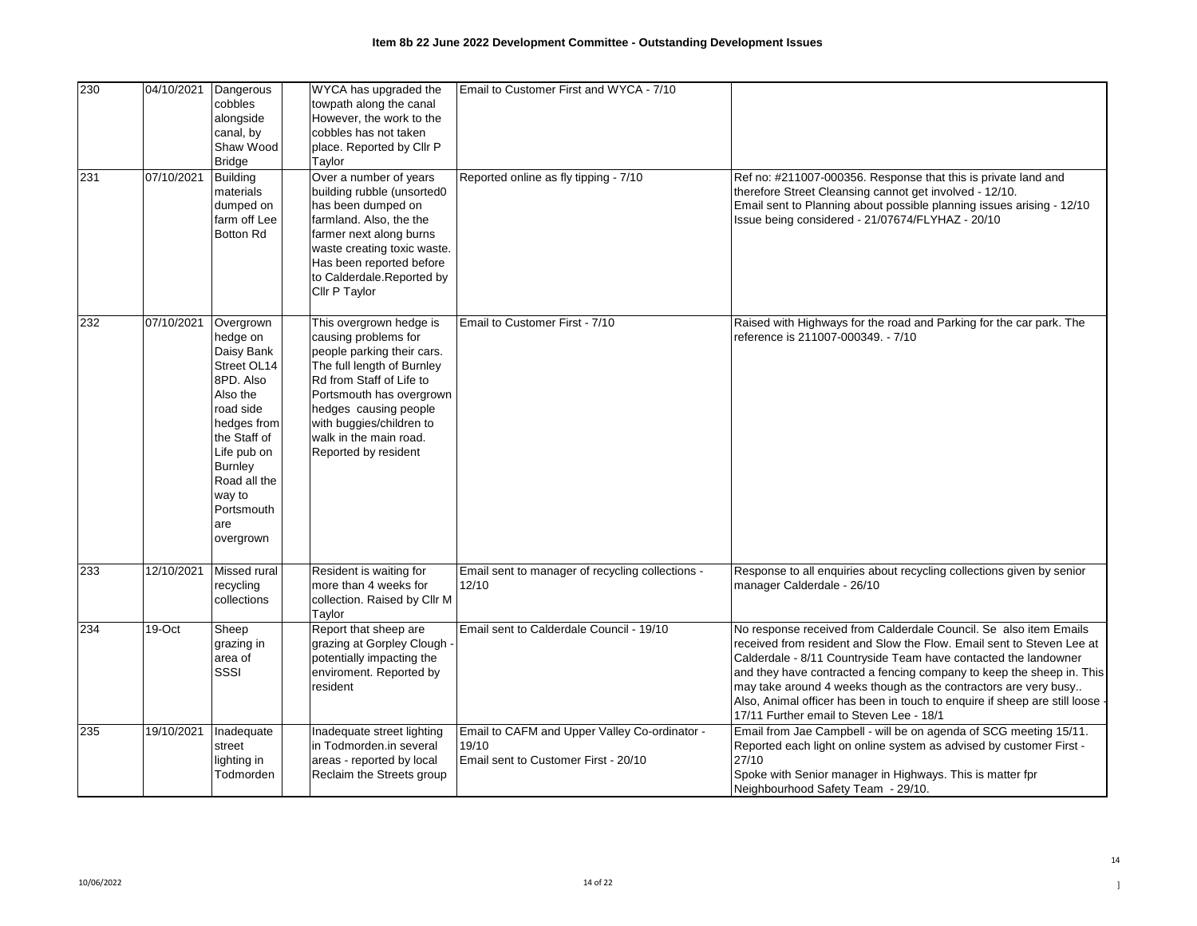| 230 | 04/10/2021 | Dangerous<br>cobbles<br>alongside<br>canal, by<br>Shaw Wood<br><b>Bridge</b>                                                                                                                                         | WYCA has upgraded the<br>towpath along the canal<br>However, the work to the<br>cobbles has not taken<br>place. Reported by Cllr P<br>Taylor                                                                                                                               | Email to Customer First and WYCA - 7/10                                                        |                                                                                                                                                                                                                                                                                                                                                                                                                                                                                       |
|-----|------------|----------------------------------------------------------------------------------------------------------------------------------------------------------------------------------------------------------------------|----------------------------------------------------------------------------------------------------------------------------------------------------------------------------------------------------------------------------------------------------------------------------|------------------------------------------------------------------------------------------------|---------------------------------------------------------------------------------------------------------------------------------------------------------------------------------------------------------------------------------------------------------------------------------------------------------------------------------------------------------------------------------------------------------------------------------------------------------------------------------------|
| 231 | 07/10/2021 | <b>Building</b><br>materials<br>dumped on<br>farm off Lee<br><b>Botton Rd</b>                                                                                                                                        | Over a number of years<br>building rubble (unsorted0<br>has been dumped on<br>farmland. Also, the the<br>farmer next along burns<br>waste creating toxic waste.<br>Has been reported before<br>to Calderdale.Reported by<br>Cllr P Taylor                                  | Reported online as fly tipping - 7/10                                                          | Ref no: #211007-000356. Response that this is private land and<br>therefore Street Cleansing cannot get involved - 12/10.<br>Email sent to Planning about possible planning issues arising - 12/10<br>Issue being considered - 21/07674/FLYHAZ - 20/10                                                                                                                                                                                                                                |
| 232 | 07/10/2021 | Overgrown<br>hedge on<br>Daisy Bank<br>Street OL14<br>8PD. Also<br>Also the<br>road side<br>hedges from<br>the Staff of<br>Life pub on<br><b>Burnley</b><br>Road all the<br>way to<br>Portsmouth<br>are<br>overgrown | This overgrown hedge is<br>causing problems for<br>people parking their cars.<br>The full length of Burnley<br>Rd from Staff of Life to<br>Portsmouth has overgrown<br>hedges causing people<br>with buggies/children to<br>walk in the main road.<br>Reported by resident | Email to Customer First - 7/10                                                                 | Raised with Highways for the road and Parking for the car park. The<br>reference is 211007-000349. - 7/10                                                                                                                                                                                                                                                                                                                                                                             |
| 233 | 12/10/2021 | Missed rural<br>recycling<br>collections                                                                                                                                                                             | Resident is waiting for<br>more than 4 weeks for<br>collection. Raised by Cllr M<br>Taylor                                                                                                                                                                                 | Email sent to manager of recycling collections -<br>12/10                                      | Response to all enquiries about recycling collections given by senior<br>manager Calderdale - 26/10                                                                                                                                                                                                                                                                                                                                                                                   |
| 234 | $19-Cct$   | Sheep<br>grazing in<br>area of<br>SSSI                                                                                                                                                                               | Report that sheep are<br>grazing at Gorpley Clough<br>potentially impacting the<br>enviroment. Reported by<br>resident                                                                                                                                                     | Email sent to Calderdale Council - 19/10                                                       | No response received from Calderdale Council. Se also item Emails<br>received from resident and Slow the Flow. Email sent to Steven Lee at<br>Calderdale - 8/11 Countryside Team have contacted the landowner<br>and they have contracted a fencing company to keep the sheep in. This<br>may take around 4 weeks though as the contractors are very busy<br>Also, Animal officer has been in touch to enquire if sheep are still loose -<br>17/11 Further email to Steven Lee - 18/1 |
| 235 | 19/10/2021 | Inadequate<br>street<br>lighting in<br>Todmorden                                                                                                                                                                     | Inadequate street lighting<br>in Todmorden.in several<br>areas - reported by local<br>Reclaim the Streets group                                                                                                                                                            | Email to CAFM and Upper Valley Co-ordinator -<br>19/10<br>Email sent to Customer First - 20/10 | Email from Jae Campbell - will be on agenda of SCG meeting 15/11.<br>Reported each light on online system as advised by customer First -<br>27/10<br>Spoke with Senior manager in Highways. This is matter fpr<br>Neighbourhood Safety Team - 29/10.                                                                                                                                                                                                                                  |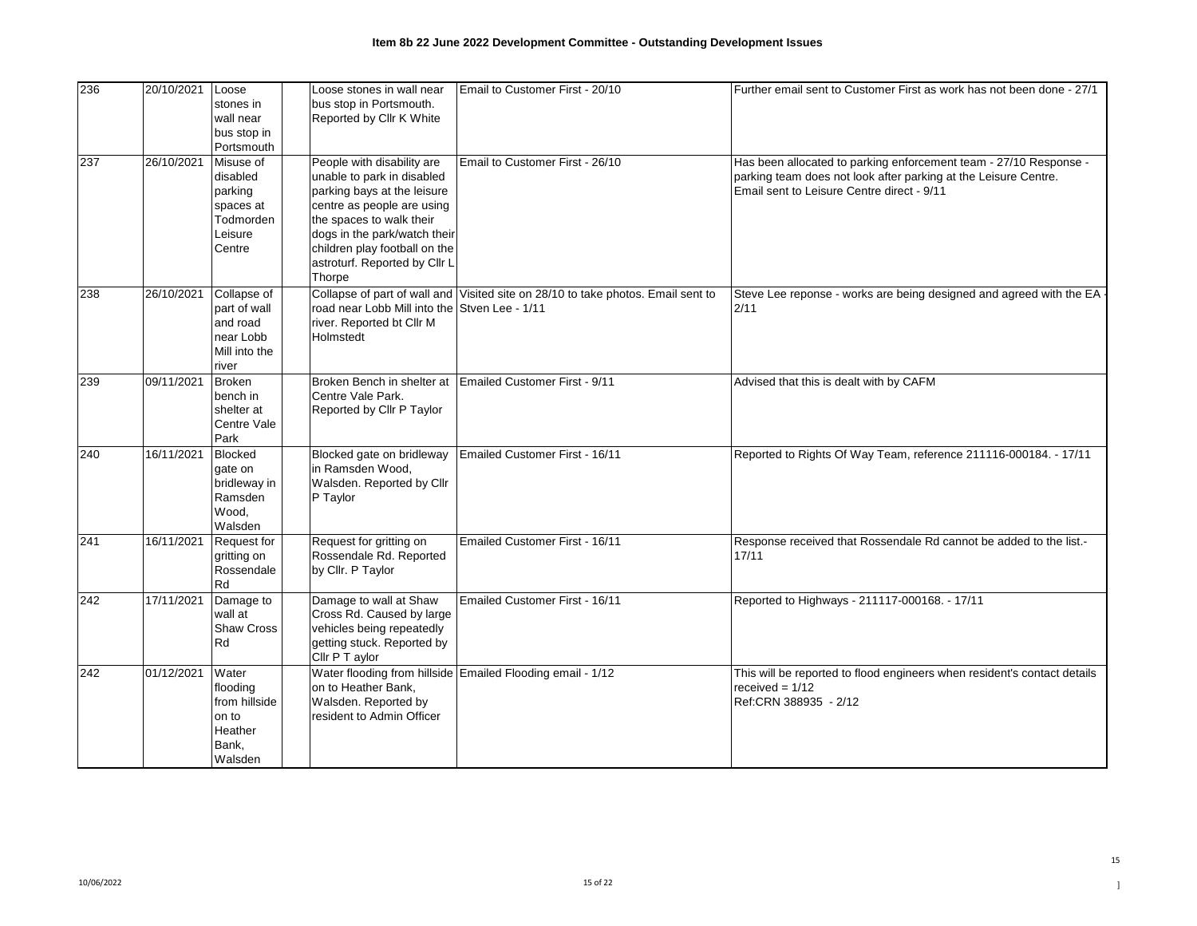| 236 | 20/10/2021 | Loose<br>stones in<br>wall near<br>bus stop in<br>Portsmouth                    | Loose stones in wall near<br>bus stop in Portsmouth.<br>Reported by Cllr K White                                                                                                                                                                              | Email to Customer First - 20/10                                                  | Further email sent to Customer First as work has not been done - 27/1                                                                                                              |
|-----|------------|---------------------------------------------------------------------------------|---------------------------------------------------------------------------------------------------------------------------------------------------------------------------------------------------------------------------------------------------------------|----------------------------------------------------------------------------------|------------------------------------------------------------------------------------------------------------------------------------------------------------------------------------|
| 237 | 26/10/2021 | Misuse of<br>disabled<br>parking<br>spaces at<br>Todmorden<br>Leisure<br>Centre | People with disability are<br>unable to park in disabled<br>parking bays at the leisure<br>centre as people are using<br>the spaces to walk their<br>dogs in the park/watch their<br>children play football on the<br>astroturf. Reported by Cllr L<br>Thorpe | Email to Customer First - 26/10                                                  | Has been allocated to parking enforcement team - 27/10 Response -<br>parking team does not look after parking at the Leisure Centre.<br>Email sent to Leisure Centre direct - 9/11 |
| 238 | 26/10/2021 | Collapse of<br>part of wall<br>and road<br>near Lobb<br>Mill into the<br>river  | road near Lobb Mill into the Stven Lee - 1/11<br>river. Reported bt Cllr M<br>Holmstedt                                                                                                                                                                       | Collapse of part of wall and Visited site on 28/10 to take photos. Email sent to | Steve Lee reponse - works are being designed and agreed with the EA<br>2/11                                                                                                        |
| 239 | 09/11/2021 | <b>Broken</b><br>bench in<br>shelter at<br>Centre Vale<br>Park                  | Centre Vale Park.<br>Reported by Cllr P Taylor                                                                                                                                                                                                                | Broken Bench in shelter at Emailed Customer First - 9/11                         | Advised that this is dealt with by CAFM                                                                                                                                            |
| 240 | 16/11/2021 | <b>Blocked</b><br>gate on<br>bridleway in<br>Ramsden<br>Wood,<br>Walsden        | Blocked gate on bridleway<br>in Ramsden Wood,<br>Walsden. Reported by Cllr<br>P Taylor                                                                                                                                                                        | Emailed Customer First - 16/11                                                   | Reported to Rights Of Way Team, reference 211116-000184. - 17/11                                                                                                                   |
| 241 | 16/11/2021 | Request for<br>gritting on<br>Rossendale<br>Rd                                  | Request for gritting on<br>Rossendale Rd. Reported<br>by Cllr. P Taylor                                                                                                                                                                                       | Emailed Customer First - 16/11                                                   | Response received that Rossendale Rd cannot be added to the list.-<br>17/11                                                                                                        |
| 242 | 17/11/2021 | Damage to<br>wall at<br><b>Shaw Cross</b><br>Rd                                 | Damage to wall at Shaw<br>Cross Rd. Caused by large<br>vehicles being repeatedly<br>getting stuck. Reported by<br>Cllr P T aylor                                                                                                                              | Emailed Customer First - 16/11                                                   | Reported to Highways - 211117-000168. - 17/11                                                                                                                                      |
| 242 | 01/12/2021 | Water<br>flooding<br>from hillside<br>on to<br>Heather<br>Bank.<br>Walsden      | on to Heather Bank,<br>Walsden. Reported by<br>resident to Admin Officer                                                                                                                                                                                      | Water flooding from hillside Emailed Flooding email - 1/12                       | This will be reported to flood engineers when resident's contact details<br>received = $1/12$<br>Ref:CRN 388935 - 2/12                                                             |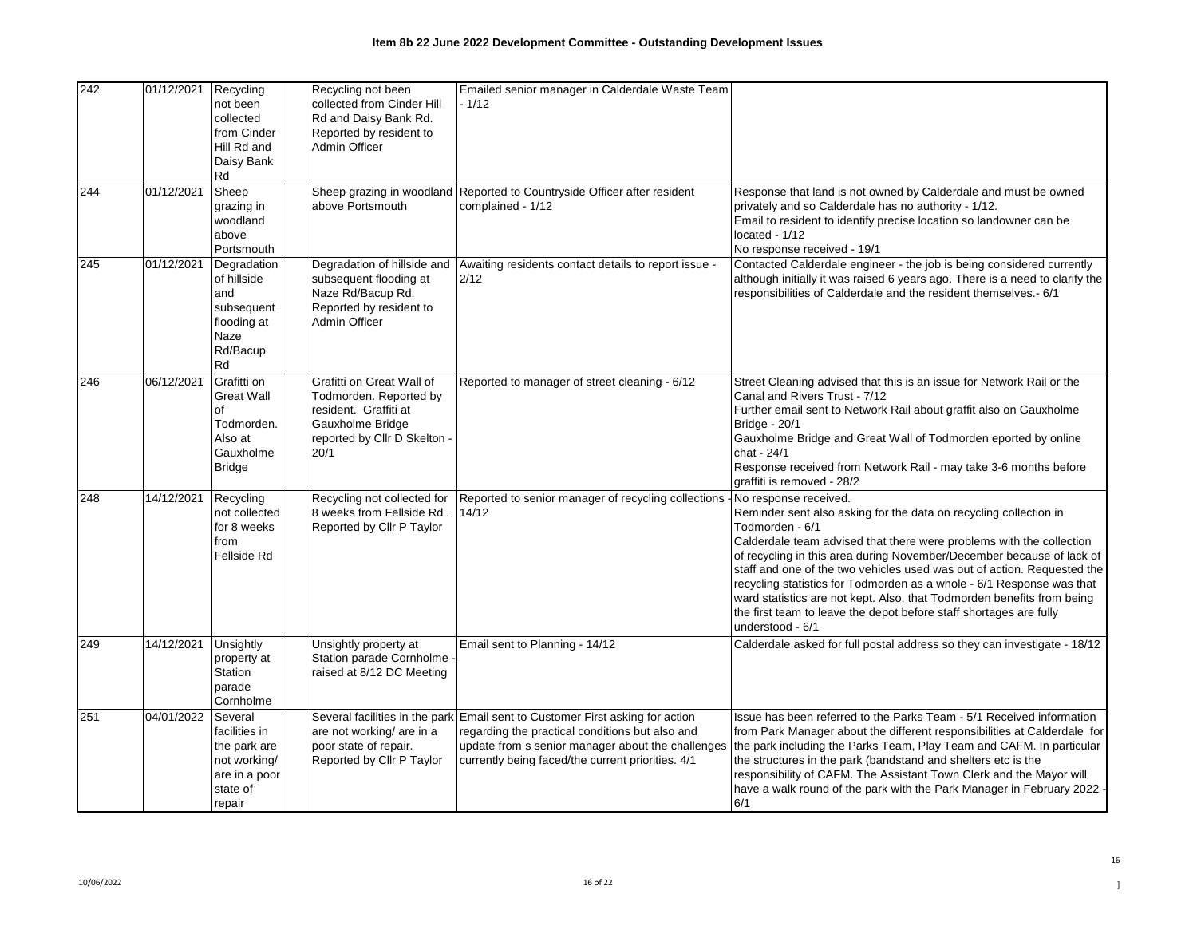| 242 | 01/12/2021 | Recycling<br>not been<br>collected<br>from Cinder<br>Hill Rd and<br>Daisy Bank<br>Rd            | Recycling not been<br>collected from Cinder Hill<br>Rd and Daisy Bank Rd.<br>Reported by resident to<br><b>Admin Officer</b>             | Emailed senior manager in Calderdale Waste Team<br>- 1/12                                                                                                                                                   |                                                                                                                                                                                                                                                                                                                                                                                                                                                                                                                                                                                        |
|-----|------------|-------------------------------------------------------------------------------------------------|------------------------------------------------------------------------------------------------------------------------------------------|-------------------------------------------------------------------------------------------------------------------------------------------------------------------------------------------------------------|----------------------------------------------------------------------------------------------------------------------------------------------------------------------------------------------------------------------------------------------------------------------------------------------------------------------------------------------------------------------------------------------------------------------------------------------------------------------------------------------------------------------------------------------------------------------------------------|
| 244 | 01/12/2021 | Sheep<br>grazing in<br>woodland<br>above<br>Portsmouth                                          | above Portsmouth                                                                                                                         | Sheep grazing in woodland Reported to Countryside Officer after resident<br>complained - 1/12                                                                                                               | Response that land is not owned by Calderdale and must be owned<br>privately and so Calderdale has no authority - 1/12.<br>Email to resident to identify precise location so landowner can be<br>located - 1/12<br>No response received - 19/1                                                                                                                                                                                                                                                                                                                                         |
| 245 | 01/12/2021 | Degradation<br>of hillside<br>and<br>subsequent<br>flooding at<br>Naze<br>Rd/Bacup<br>Rd        | subsequent flooding at<br>Naze Rd/Bacup Rd.<br>Reported by resident to<br><b>Admin Officer</b>                                           | Degradation of hillside and Awaiting residents contact details to report issue -<br>2/12                                                                                                                    | Contacted Calderdale engineer - the job is being considered currently<br>although initially it was raised 6 years ago. There is a need to clarify the<br>responsibilities of Calderdale and the resident themselves.- 6/1                                                                                                                                                                                                                                                                                                                                                              |
| 246 | 06/12/2021 | Grafitti on<br><b>Great Wall</b><br>of<br>Todmorden.<br>Also at<br>Gauxholme<br><b>Bridge</b>   | Grafitti on Great Wall of<br>Todmorden. Reported by<br>resident. Graffiti at<br>Gauxholme Bridge<br>reported by Cllr D Skelton -<br>20/1 | Reported to manager of street cleaning - 6/12                                                                                                                                                               | Street Cleaning advised that this is an issue for Network Rail or the<br>Canal and Rivers Trust - 7/12<br>Further email sent to Network Rail about graffit also on Gauxholme<br><b>Bridge - 20/1</b><br>Gauxholme Bridge and Great Wall of Todmorden eported by online<br>chat - 24/1<br>Response received from Network Rail - may take 3-6 months before<br>graffiti is removed - 28/2                                                                                                                                                                                                |
| 248 | 14/12/2021 | Recycling<br>not collected<br>for 8 weeks<br>from<br>Fellside Rd                                | Recycling not collected for<br>8 weeks from Fellside Rd<br>Reported by Cllr P Taylor                                                     | Reported to senior manager of recycling collections<br>14/12                                                                                                                                                | No response received.<br>Reminder sent also asking for the data on recycling collection in<br>Todmorden - 6/1<br>Calderdale team advised that there were problems with the collection<br>of recycling in this area during November/December because of lack of<br>staff and one of the two vehicles used was out of action. Requested the<br>recycling statistics for Todmorden as a whole - 6/1 Response was that<br>ward statistics are not kept. Also, that Todmorden benefits from being<br>the first team to leave the depot before staff shortages are fully<br>understood - 6/1 |
| 249 | 14/12/2021 | Unsightly<br>property at<br>Station<br>parade<br>Cornholme                                      | Unsightly property at<br>Station parade Cornholme<br>raised at 8/12 DC Meeting                                                           | Email sent to Planning - 14/12                                                                                                                                                                              | Calderdale asked for full postal address so they can investigate - 18/12                                                                                                                                                                                                                                                                                                                                                                                                                                                                                                               |
| 251 | 04/01/2022 | Several<br>facilities in<br>the park are<br>not working/<br>are in a poor<br>state of<br>repair | Several facilities in the park<br>are not working/ are in a<br>poor state of repair.<br>Reported by Cllr P Taylor                        | Email sent to Customer First asking for action<br>regarding the practical conditions but also and<br>update from s senior manager about the challenges<br>currently being faced/the current priorities. 4/1 | Issue has been referred to the Parks Team - 5/1 Received information<br>from Park Manager about the different responsibilities at Calderdale for<br>the park including the Parks Team, Play Team and CAFM. In particular<br>the structures in the park (bandstand and shelters etc is the<br>responsibility of CAFM. The Assistant Town Clerk and the Mayor will<br>have a walk round of the park with the Park Manager in February 2022 .<br>6/1                                                                                                                                      |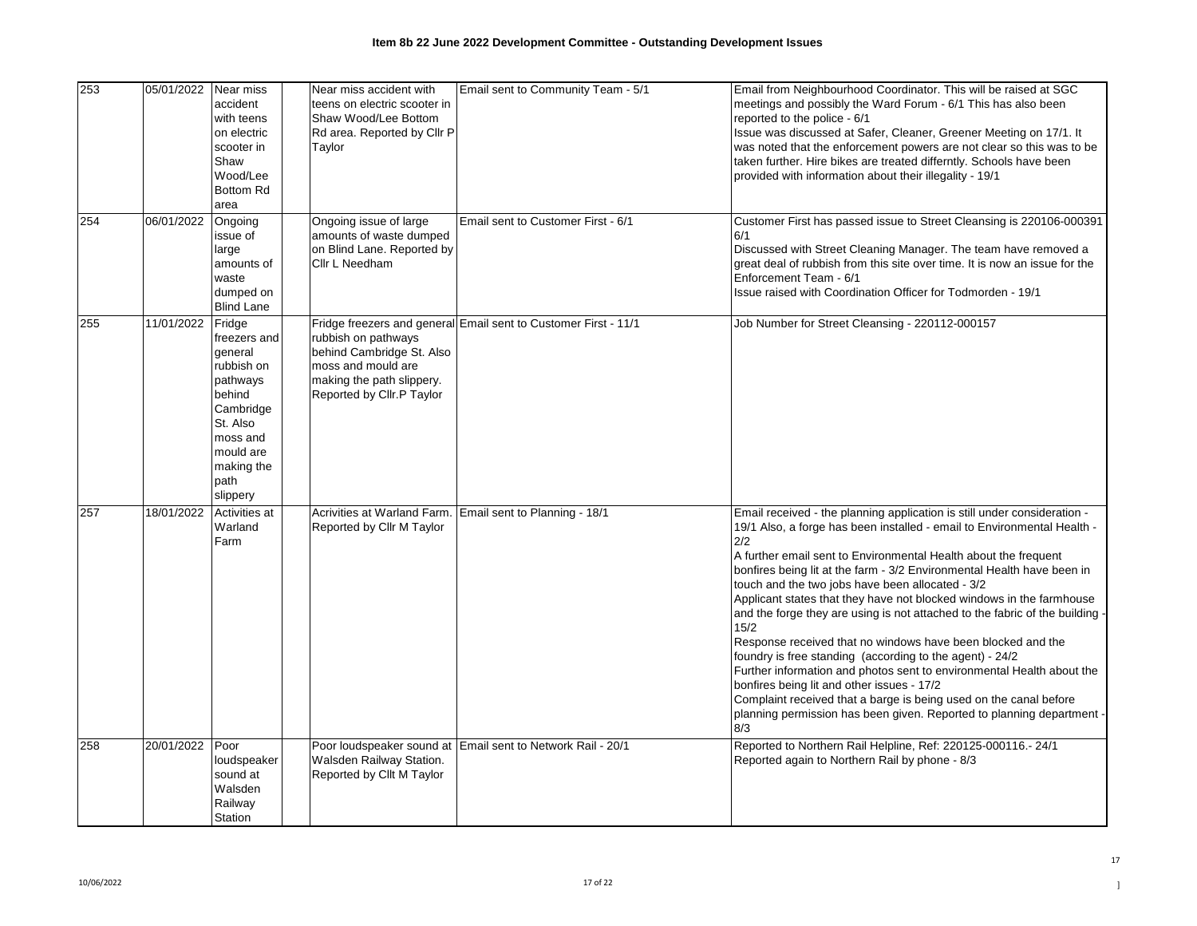| 253 | 05/01/2022 | Near miss<br>accident<br>with teens<br>on electric<br>scooter in<br>Shaw<br>Wood/Lee<br><b>Bottom Rd</b><br>area                                          | Near miss accident with<br>teens on electric scooter in<br>Shaw Wood/Lee Bottom<br>Rd area. Reported by Cllr P<br>Taylor         | Email sent to Community Team - 5/1                              | Email from Neighbourhood Coordinator. This will be raised at SGC<br>meetings and possibly the Ward Forum - 6/1 This has also been<br>reported to the police - 6/1<br>Issue was discussed at Safer, Cleaner, Greener Meeting on 17/1. It<br>was noted that the enforcement powers are not clear so this was to be<br>taken further. Hire bikes are treated differntly. Schools have been<br>provided with information about their illegality - 19/1                                                                                                                                                                                                                                                                                                                                                                                                                                                                                 |
|-----|------------|-----------------------------------------------------------------------------------------------------------------------------------------------------------|----------------------------------------------------------------------------------------------------------------------------------|-----------------------------------------------------------------|------------------------------------------------------------------------------------------------------------------------------------------------------------------------------------------------------------------------------------------------------------------------------------------------------------------------------------------------------------------------------------------------------------------------------------------------------------------------------------------------------------------------------------------------------------------------------------------------------------------------------------------------------------------------------------------------------------------------------------------------------------------------------------------------------------------------------------------------------------------------------------------------------------------------------------|
| 254 | 06/01/2022 | Ongoing<br>issue of<br>large<br>amounts of<br>waste<br>dumped on<br><b>Blind Lane</b>                                                                     | Ongoing issue of large<br>amounts of waste dumped<br>on Blind Lane. Reported by<br>Cllr L Needham                                | Email sent to Customer First - 6/1                              | Customer First has passed issue to Street Cleansing is 220106-000391<br>6/1<br>Discussed with Street Cleaning Manager. The team have removed a<br>great deal of rubbish from this site over time. It is now an issue for the<br>Enforcement Team - 6/1<br>Issue raised with Coordination Officer for Todmorden - 19/1                                                                                                                                                                                                                                                                                                                                                                                                                                                                                                                                                                                                              |
| 255 | 11/01/2022 | Fridge<br>freezers and<br>general<br>rubbish on<br>pathways<br>behind<br>Cambridge<br>St. Also<br>moss and<br>mould are<br>making the<br>path<br>slippery | rubbish on pathways<br>behind Cambridge St. Also<br>moss and mould are<br>making the path slippery.<br>Reported by Cllr.P Taylor | Fridge freezers and general Email sent to Customer First - 11/1 | Job Number for Street Cleansing - 220112-000157                                                                                                                                                                                                                                                                                                                                                                                                                                                                                                                                                                                                                                                                                                                                                                                                                                                                                    |
| 257 | 18/01/2022 | Activities at<br>Warland<br>Farm                                                                                                                          | Reported by Cllr M Taylor                                                                                                        | Acrivities at Warland Farm. Email sent to Planning - 18/1       | Email received - the planning application is still under consideration -<br>19/1 Also, a forge has been installed - email to Environmental Health -<br>2/2<br>A further email sent to Environmental Health about the frequent<br>bonfires being lit at the farm - 3/2 Environmental Health have been in<br>touch and the two jobs have been allocated - 3/2<br>Applicant states that they have not blocked windows in the farmhouse<br>and the forge they are using is not attached to the fabric of the building -<br>15/2<br>Response received that no windows have been blocked and the<br>foundry is free standing (according to the agent) - 24/2<br>Further information and photos sent to environmental Health about the<br>bonfires being lit and other issues - 17/2<br>Complaint received that a barge is being used on the canal before<br>planning permission has been given. Reported to planning department -<br>8/3 |
| 258 | 20/01/2022 | Poor<br>loudspeaker<br>sound at<br>Walsden<br>Railway<br>Station                                                                                          | Walsden Railway Station.<br>Reported by Cllt M Taylor                                                                            | Poor loudspeaker sound at Email sent to Network Rail - 20/1     | Reported to Northern Rail Helpline, Ref: 220125-000116.- 24/1<br>Reported again to Northern Rail by phone - 8/3                                                                                                                                                                                                                                                                                                                                                                                                                                                                                                                                                                                                                                                                                                                                                                                                                    |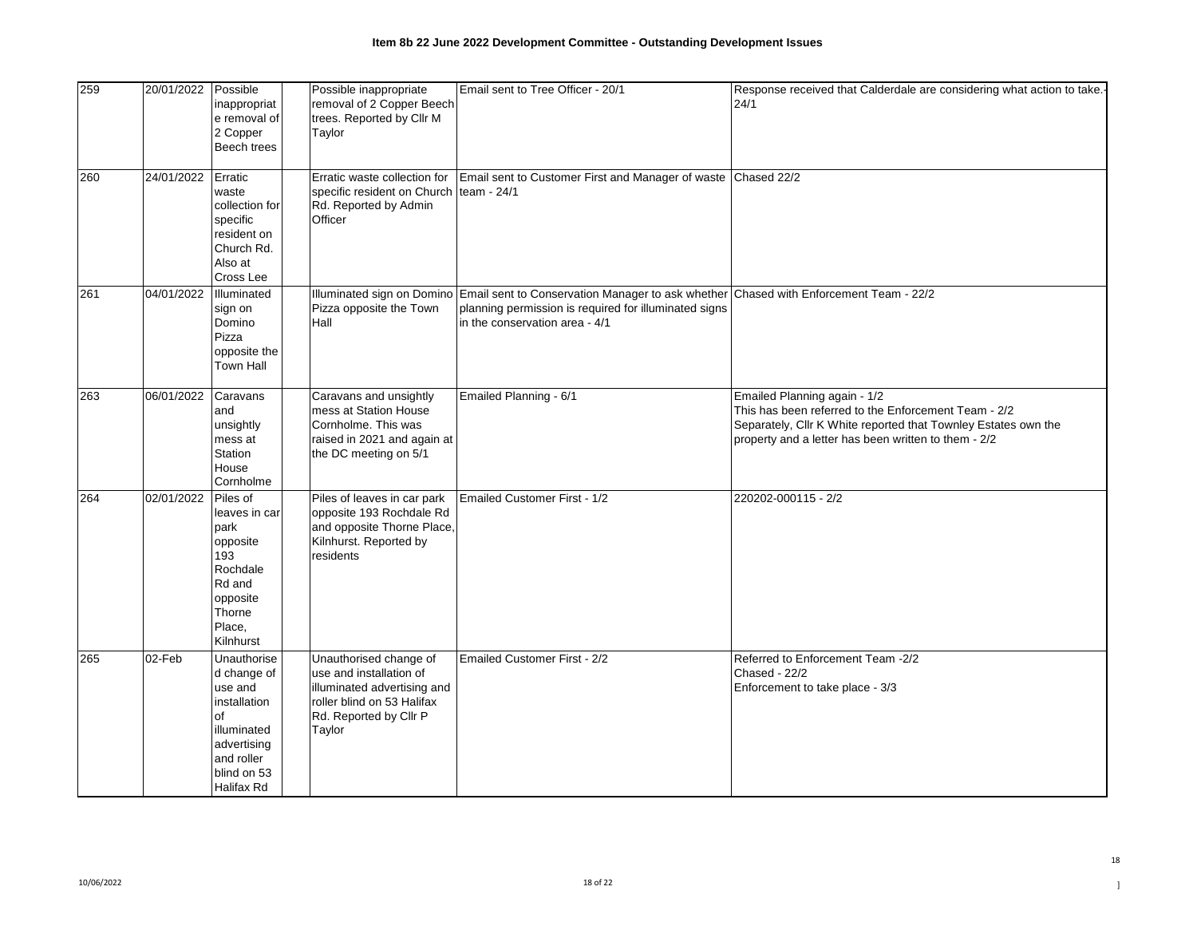| 259 | 20/01/2022 | Possible<br>inappropriat<br>e removal of<br>2 Copper<br>Beech trees                                                                         | Possible inappropriate<br>removal of 2 Copper Beech<br>trees. Reported by Cllr M<br>Taylor                                                         | Email sent to Tree Officer - 20/1                                                                                                                                                                           | Response received that Calderdale are considering what action to take.<br>24/1                                                                                                                                 |
|-----|------------|---------------------------------------------------------------------------------------------------------------------------------------------|----------------------------------------------------------------------------------------------------------------------------------------------------|-------------------------------------------------------------------------------------------------------------------------------------------------------------------------------------------------------------|----------------------------------------------------------------------------------------------------------------------------------------------------------------------------------------------------------------|
| 260 | 24/01/2022 | Erratic<br>waste<br>collection for<br>specific<br>resident on<br>Church Rd.<br>Also at<br>Cross Lee                                         | Erratic waste collection for<br>specific resident on Church team - 24/1<br>Rd. Reported by Admin<br>Officer                                        | Email sent to Customer First and Manager of waste Chased 22/2                                                                                                                                               |                                                                                                                                                                                                                |
| 261 | 04/01/2022 | Illuminated<br>sign on<br>Domino<br>Pizza<br>opposite the<br>Town Hall                                                                      | Pizza opposite the Town<br>Hall                                                                                                                    | Illuminated sign on Domino Email sent to Conservation Manager to ask whether Chased with Enforcement Team - 22/2<br>planning permission is required for illuminated signs<br>in the conservation area - 4/1 |                                                                                                                                                                                                                |
| 263 | 06/01/2022 | Caravans<br>and<br>unsightly<br>mess at<br>Station<br>House<br>Cornholme                                                                    | Caravans and unsightly<br>mess at Station House<br>Cornholme. This was<br>raised in 2021 and again at<br>the DC meeting on 5/1                     | Emailed Planning - 6/1                                                                                                                                                                                      | Emailed Planning again - 1/2<br>This has been referred to the Enforcement Team - 2/2<br>Separately, Cllr K White reported that Townley Estates own the<br>property and a letter has been written to them - 2/2 |
| 264 | 02/01/2022 | Piles of<br>leaves in car<br>park<br>opposite<br>193<br>Rochdale<br>Rd and<br>opposite<br>Thorne<br>Place,<br>Kilnhurst                     | Piles of leaves in car park<br>opposite 193 Rochdale Rd<br>and opposite Thorne Place,<br>Kilnhurst. Reported by<br>residents                       | Emailed Customer First - 1/2                                                                                                                                                                                | 220202-000115 - 2/2                                                                                                                                                                                            |
| 265 | 02-Feb     | Unauthorise<br>d change of<br>use and<br>installation<br><b>of</b><br>illuminated<br>advertising<br>and roller<br>blind on 53<br>Halifax Rd | Unauthorised change of<br>use and installation of<br>illuminated advertising and<br>roller blind on 53 Halifax<br>Rd. Reported by Cllr P<br>Taylor | Emailed Customer First - 2/2                                                                                                                                                                                | Referred to Enforcement Team -2/2<br>Chased - 22/2<br>Enforcement to take place - 3/3                                                                                                                          |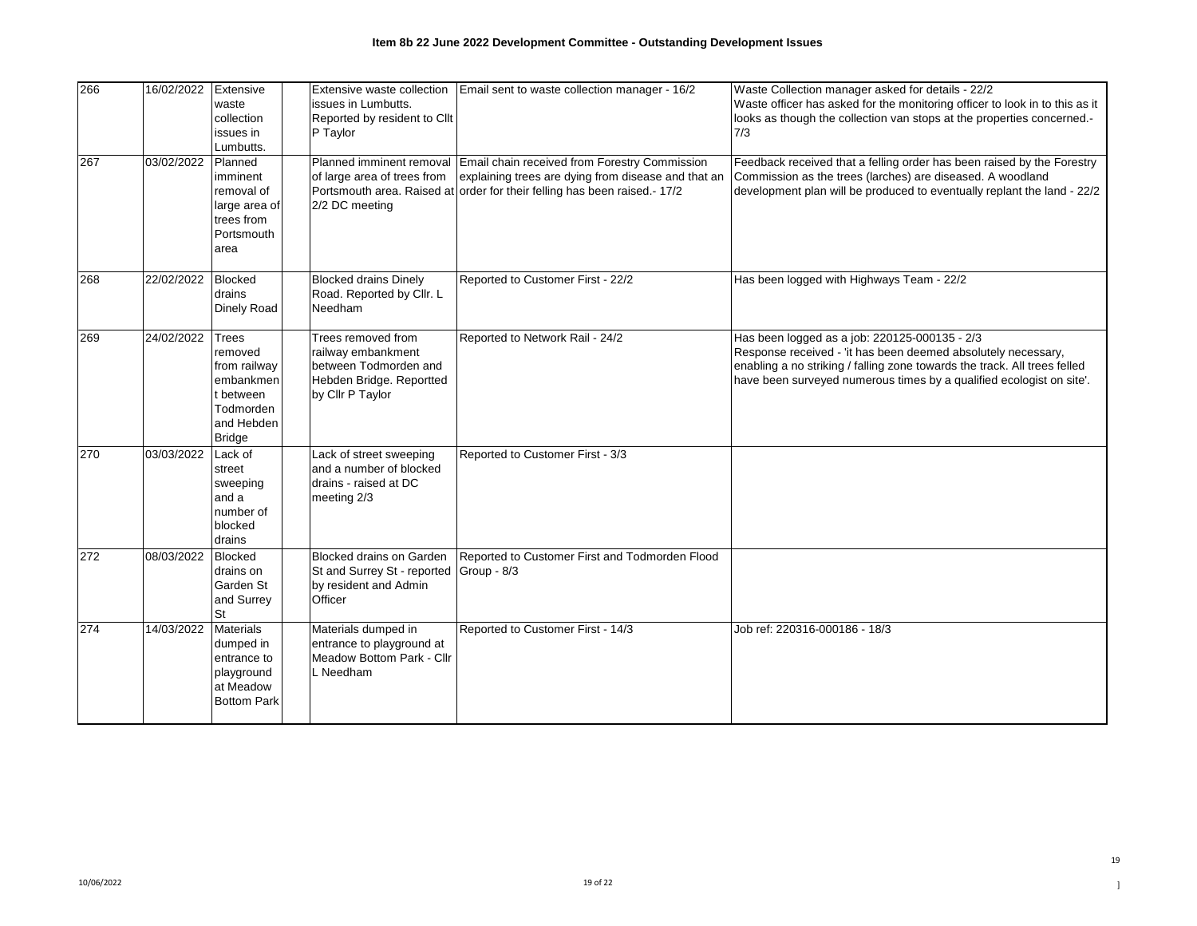| 266<br>267 | 16/02/2022<br>03/02/2022 | Extensive<br>waste<br>collection<br>issues in<br>Lumbutts.<br>Planned                                         | Extensive waste collection<br>issues in Lumbutts.<br>Reported by resident to Cllt<br>P Taylor<br>Planned imminent removal | Email sent to waste collection manager - 16/2<br>Email chain received from Forestry Commission                                   | Waste Collection manager asked for details - 22/2<br>Waste officer has asked for the monitoring officer to look in to this as it<br>looks as though the collection van stops at the properties concerned.-<br>7/3<br>Feedback received that a felling order has been raised by the Forestry |
|------------|--------------------------|---------------------------------------------------------------------------------------------------------------|---------------------------------------------------------------------------------------------------------------------------|----------------------------------------------------------------------------------------------------------------------------------|---------------------------------------------------------------------------------------------------------------------------------------------------------------------------------------------------------------------------------------------------------------------------------------------|
|            |                          | imminent<br>removal of<br>large area of<br>trees from<br>Portsmouth<br>area                                   | of large area of trees from<br>2/2 DC meeting                                                                             | explaining trees are dying from disease and that an<br>Portsmouth area. Raised at order for their felling has been raised.- 17/2 | Commission as the trees (larches) are diseased. A woodland<br>development plan will be produced to eventually replant the land - 22/2                                                                                                                                                       |
| 268        | 22/02/2022               | Blocked<br>drains<br>Dinely Road                                                                              | <b>Blocked drains Dinely</b><br>Road. Reported by Cllr. L<br>Needham                                                      | Reported to Customer First - 22/2                                                                                                | Has been logged with Highways Team - 22/2                                                                                                                                                                                                                                                   |
| 269        | 24/02/2022               | <b>Trees</b><br>removed<br>from railway<br>embankmen<br>t between<br>Todmorden<br>and Hebden<br><b>Bridge</b> | Trees removed from<br>railway embankment<br>between Todmorden and<br>Hebden Bridge. Reportted<br>by Cllr P Taylor         | Reported to Network Rail - 24/2                                                                                                  | Has been logged as a job: 220125-000135 - 2/3<br>Response received - 'it has been deemed absolutely necessary,<br>enabling a no striking / falling zone towards the track. All trees felled<br>have been surveyed numerous times by a qualified ecologist on site'.                         |
| 270        | 03/03/2022               | Lack of<br>street<br>sweeping<br>and a<br>number of<br>blocked<br>drains                                      | Lack of street sweeping<br>and a number of blocked<br>drains - raised at DC<br>meeting 2/3                                | Reported to Customer First - 3/3                                                                                                 |                                                                                                                                                                                                                                                                                             |
| 272        | 08/03/2022               | <b>Blocked</b><br>drains on<br>Garden St<br>and Surrey<br>St                                                  | <b>Blocked drains on Garden</b><br>St and Surrey St - reported<br>by resident and Admin<br>Officer                        | Reported to Customer First and Todmorden Flood<br>Group - 8/3                                                                    |                                                                                                                                                                                                                                                                                             |
| 274        | 14/03/2022               | <b>Materials</b><br>dumped in<br>entrance to<br>playground<br>at Meadow<br><b>Bottom Park</b>                 | Materials dumped in<br>entrance to playground at<br>Meadow Bottom Park - Cllr<br>L Needham                                | Reported to Customer First - 14/3                                                                                                | Job ref: 220316-000186 - 18/3                                                                                                                                                                                                                                                               |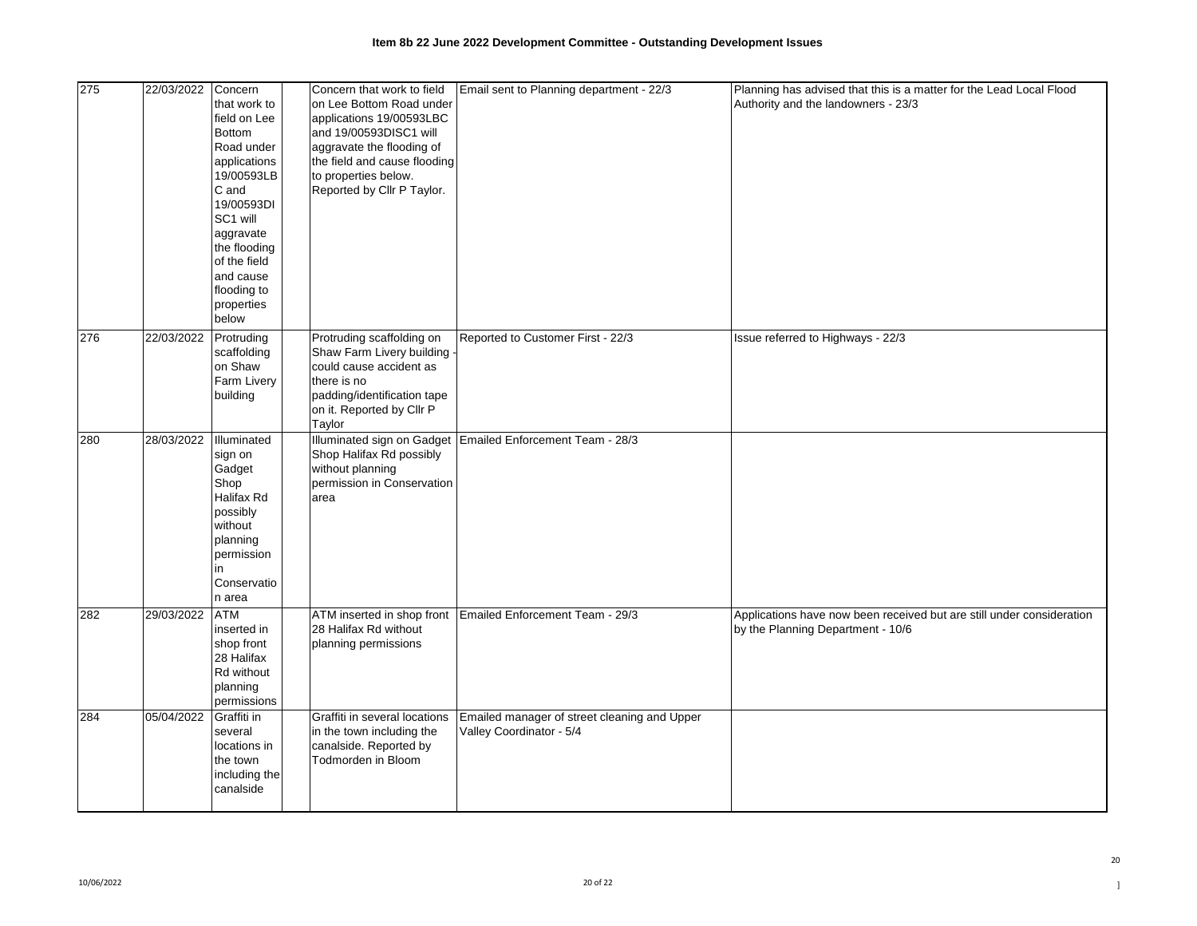| 275 | 22/03/2022 | Concern<br>that work to<br>field on Lee<br><b>Bottom</b><br>Road under<br>applications<br>19/00593LB<br>C and<br>19/00593DI<br>SC1 will<br>aggravate<br>the flooding<br>of the field<br>and cause<br>flooding to<br>properties<br>below | Concern that work to field<br>on Lee Bottom Road under<br>applications 19/00593LBC<br>and 19/00593DISC1 will<br>aggravate the flooding of<br>the field and cause flooding<br>to properties below.<br>Reported by Cllr P Taylor. | Email sent to Planning department - 22/3                                 | Planning has advised that this is a matter for the Lead Local Flood<br>Authority and the landowners - 23/3 |
|-----|------------|-----------------------------------------------------------------------------------------------------------------------------------------------------------------------------------------------------------------------------------------|---------------------------------------------------------------------------------------------------------------------------------------------------------------------------------------------------------------------------------|--------------------------------------------------------------------------|------------------------------------------------------------------------------------------------------------|
| 276 | 22/03/2022 | Protruding<br>scaffolding<br>on Shaw<br>Farm Livery<br>building                                                                                                                                                                         | Protruding scaffolding on<br>Shaw Farm Livery building<br>could cause accident as<br>there is no<br>padding/identification tape<br>on it. Reported by Cllr P<br>Taylor                                                          | Reported to Customer First - 22/3                                        | Issue referred to Highways - 22/3                                                                          |
| 280 | 28/03/2022 | Illuminated<br>sign on<br>Gadget<br>Shop<br>Halifax Rd<br>possibly<br>without<br>planning<br>permission<br>in<br>Conservatio<br>n area                                                                                                  | Shop Halifax Rd possibly<br>without planning<br>permission in Conservation<br>area                                                                                                                                              | Illuminated sign on Gadget Emailed Enforcement Team - 28/3               |                                                                                                            |
| 282 | 29/03/2022 | <b>ATM</b><br>inserted in<br>shop front<br>28 Halifax<br>Rd without<br>planning<br>permissions                                                                                                                                          | 28 Halifax Rd without<br>planning permissions                                                                                                                                                                                   | ATM inserted in shop front Emailed Enforcement Team - 29/3               | Applications have now been received but are still under consideration<br>by the Planning Department - 10/6 |
| 284 | 05/04/2022 | Graffiti in<br>several<br>locations in<br>the town<br>including the<br>canalside                                                                                                                                                        | Graffiti in several locations<br>in the town including the<br>canalside. Reported by<br>Todmorden in Bloom                                                                                                                      | Emailed manager of street cleaning and Upper<br>Valley Coordinator - 5/4 |                                                                                                            |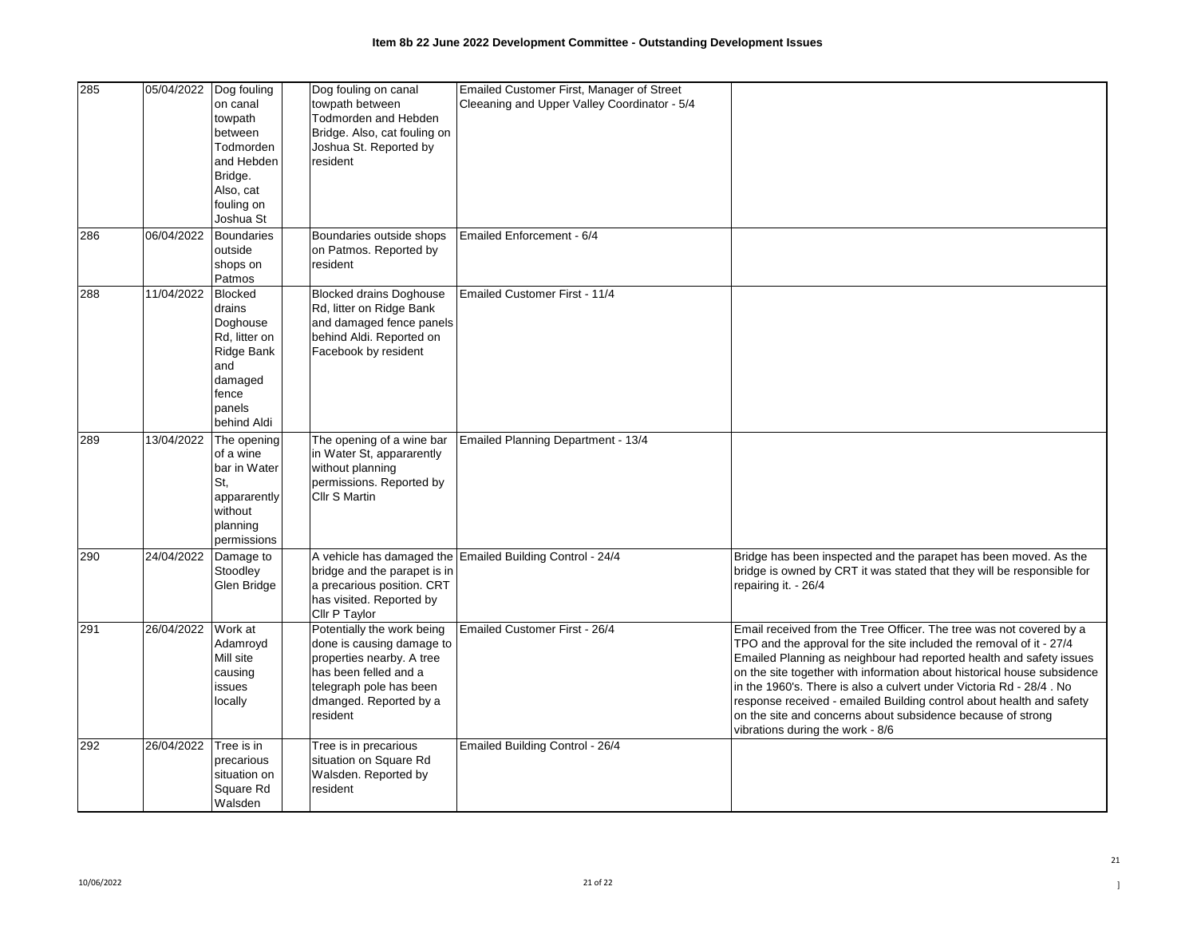| 285 | 05/04/2022 | Dog fouling                                                                                                             | Dog fouling on canal                                                                                                                                                           | Emailed Customer First, Manager of Street                 |                                                                                                                                                                                                                                                                                                                                                                                                                                                                                                                                                |
|-----|------------|-------------------------------------------------------------------------------------------------------------------------|--------------------------------------------------------------------------------------------------------------------------------------------------------------------------------|-----------------------------------------------------------|------------------------------------------------------------------------------------------------------------------------------------------------------------------------------------------------------------------------------------------------------------------------------------------------------------------------------------------------------------------------------------------------------------------------------------------------------------------------------------------------------------------------------------------------|
|     |            | on canal<br>towpath<br>between<br>Todmorden<br>and Hebden<br>Bridge.<br>Also, cat<br>fouling on<br>Joshua St            | towpath between<br>Todmorden and Hebden<br>Bridge. Also, cat fouling on<br>Joshua St. Reported by<br>resident                                                                  | Cleeaning and Upper Valley Coordinator - 5/4              |                                                                                                                                                                                                                                                                                                                                                                                                                                                                                                                                                |
| 286 | 06/04/2022 | <b>Boundaries</b><br>outside<br>shops on<br>Patmos                                                                      | Boundaries outside shops<br>on Patmos. Reported by<br>resident                                                                                                                 | Emailed Enforcement - 6/4                                 |                                                                                                                                                                                                                                                                                                                                                                                                                                                                                                                                                |
| 288 | 11/04/2022 | <b>Blocked</b><br>drains<br>Doghouse<br>Rd, litter on<br>Ridge Bank<br>and<br>damaged<br>fence<br>panels<br>behind Aldi | <b>Blocked drains Doghouse</b><br>Rd, litter on Ridge Bank<br>and damaged fence panels<br>behind Aldi. Reported on<br>Facebook by resident                                     | Emailed Customer First - 11/4                             |                                                                                                                                                                                                                                                                                                                                                                                                                                                                                                                                                |
| 289 | 13/04/2022 | The opening<br>of a wine<br>bar in Water<br>St,<br>appararently<br>without<br>planning<br>permissions                   | The opening of a wine bar<br>in Water St, appararently<br>without planning<br>permissions. Reported by<br><b>Cllr S Martin</b>                                                 | Emailed Planning Department - 13/4                        |                                                                                                                                                                                                                                                                                                                                                                                                                                                                                                                                                |
| 290 | 24/04/2022 | Damage to<br>Stoodley<br>Glen Bridge                                                                                    | bridge and the parapet is in<br>a precarious position. CRT<br>has visited. Reported by<br>Cllr P Taylor                                                                        | A vehicle has damaged the Emailed Building Control - 24/4 | Bridge has been inspected and the parapet has been moved. As the<br>bridge is owned by CRT it was stated that they will be responsible for<br>repairing it. - 26/4                                                                                                                                                                                                                                                                                                                                                                             |
| 291 | 26/04/2022 | Work at<br>Adamroyd<br>Mill site<br>causing<br>issues<br>locally                                                        | Potentially the work being<br>done is causing damage to<br>properties nearby. A tree<br>has been felled and a<br>telegraph pole has been<br>dmanged. Reported by a<br>resident | Emailed Customer First - 26/4                             | Email received from the Tree Officer. The tree was not covered by a<br>TPO and the approval for the site included the removal of it - 27/4<br>Emailed Planning as neighbour had reported health and safety issues<br>on the site together with information about historical house subsidence<br>in the 1960's. There is also a culvert under Victoria Rd - 28/4. No<br>response received - emailed Building control about health and safety<br>on the site and concerns about subsidence because of strong<br>vibrations during the work - 8/6 |
| 292 | 26/04/2022 | Tree is in<br>precarious<br>situation on<br>Square Rd<br>Walsden                                                        | Tree is in precarious<br>situation on Square Rd<br>Walsden. Reported by<br>resident                                                                                            | Emailed Building Control - 26/4                           |                                                                                                                                                                                                                                                                                                                                                                                                                                                                                                                                                |